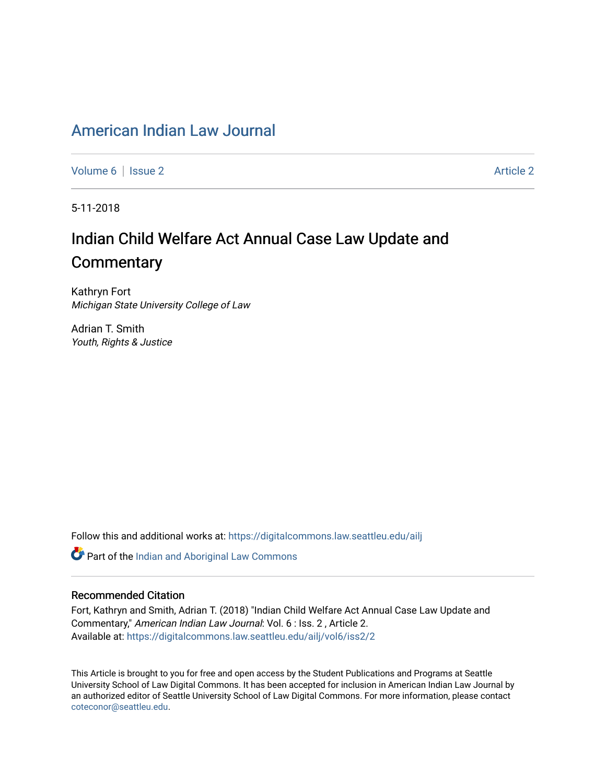# American Indian Law Journal

Volume 6 | Issue 2 Article 2

5-11-2018

# Indian Child Welfare Act Annual Case Law Update and **Commentary**

Kathryn Fort Michigan State University College of Law

Adrian T. Smith Youth, Rights & Justice

Follow this and additional works at: https://digitalcommons.law.seattleu.edu/ailj

Part of the Indian and Aboriginal Law Commons

# Recommended Citation

Fort, Kathryn and Smith, Adrian T. (2018) "Indian Child Welfare Act Annual Case Law Update and Commentary," American Indian Law Journal: Vol. 6 : Iss. 2 , Article 2. Available at: https://digitalcommons.law.seattleu.edu/ailj/vol6/iss2/2

This Article is brought to you for free and open access by the Student Publications and Programs at Seattle University School of Law Digital Commons. It has been accepted for inclusion in American Indian Law Journal by an authorized editor of Seattle University School of Law Digital Commons. For more information, please contact coteconor@seattleu.edu.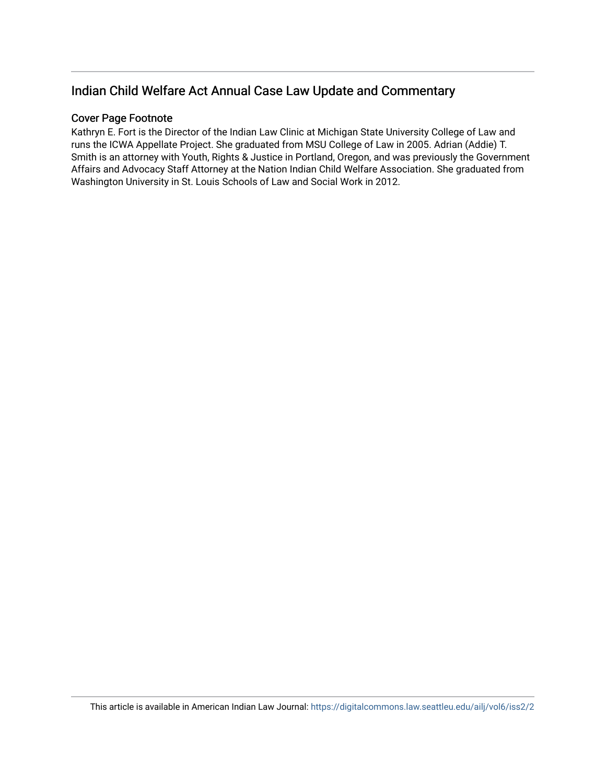# Indian Child Welfare Act Annual Case Law Update and Commentary

# Cover Page Footnote

Kathryn E. Fort is the Director of the Indian Law Clinic at Michigan State University College of Law and runs the ICWA Appellate Project. She graduated from MSU College of Law in 2005. Adrian (Addie) T. Smith is an attorney with Youth, Rights & Justice in Portland, Oregon, and was previously the Government Affairs and Advocacy Staff Attorney at the Nation Indian Child Welfare Association. She graduated from Washington University in St. Louis Schools of Law and Social Work in 2012.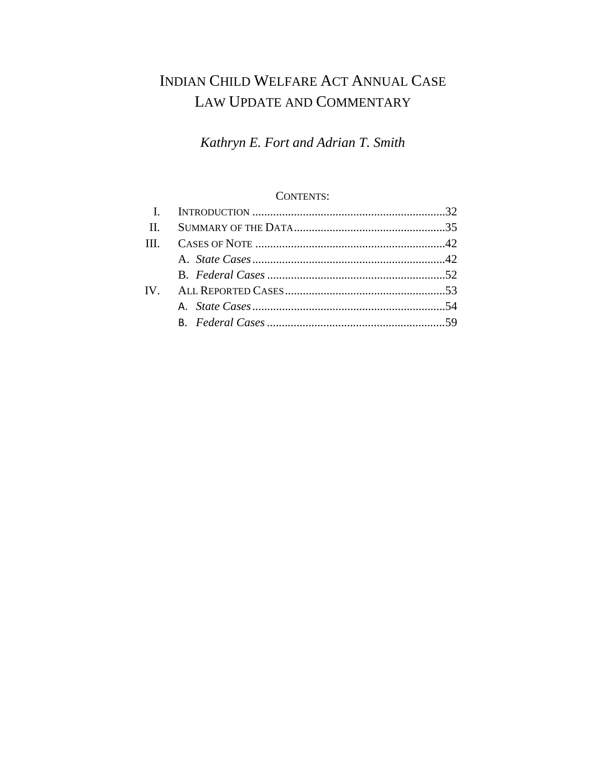# INDIAN CHILD WELFARE ACT ANNUAL CASE LAW UPDATE AND COMMENTARY

*Kathryn E. Fort and Adrian T. Smith*

# CONTENTS:

| IV |  |
|----|--|
|    |  |
|    |  |
|    |  |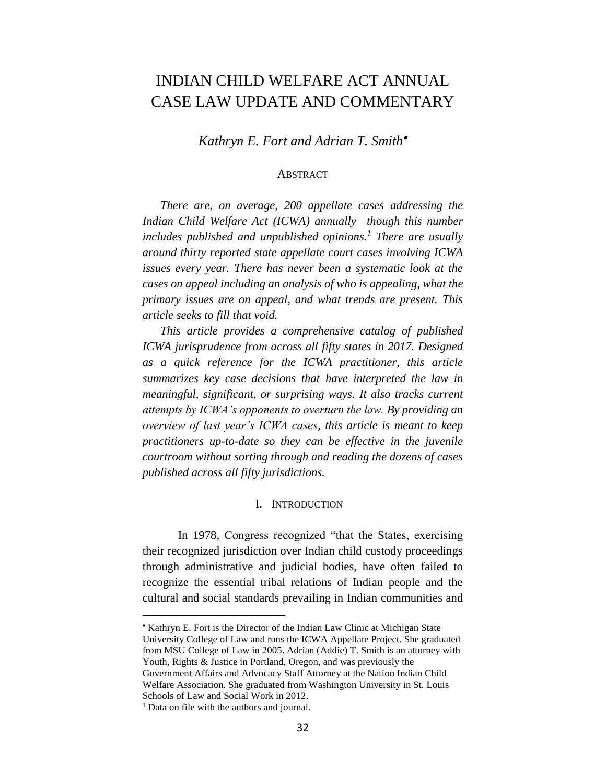# INDIAN CHILD WELFARE ACT ANNUAL CASE LAW UPDATE AND COMMENTARY

*Kathryn E. Fort and Adrian T. Smith*•

#### **ABSTRACT**

*There are, on average, 200 appellate cases addressing the Indian Child Welfare Act (ICWA) annually—though this number includes published and unpublished opinions.<sup>1</sup> There are usually around thirty reported state appellate court cases involving ICWA issues every year. There has never been a systematic look at the cases on appeal including an analysis of who is appealing, what the primary issues are on appeal, and what trends are present. This article seeks to fill that void.* 

*This article provides a comprehensive catalog of published ICWA jurisprudence from across all fifty states in 2017. Designed as a quick reference for the ICWA practitioner, this article summarizes key case decisions that have interpreted the law in meaningful, significant, or surprising ways. It also tracks current attempts by ICWA's opponents to overturn the law. By providing an overview of last year's ICWA cases, this article is meant to keep practitioners up-to-date so they can be effective in the juvenile courtroom without sorting through and reading the dozens of cases published across all fifty jurisdictions.* 

#### I. INTRODUCTION

In 1978, Congress recognized "that the States, exercising their recognized jurisdiction over Indian child custody proceedings through administrative and judicial bodies, have often failed to recognize the essential tribal relations of Indian people and the cultural and social standards prevailing in Indian communities and

<sup>•</sup> Kathryn E. Fort is the Director of the Indian Law Clinic at Michigan State University College of Law and runs the ICWA Appellate Project. She graduated from MSU College of Law in 2005. Adrian (Addie) T. Smith is an attorney with Youth, Rights & Justice in Portland, Oregon, and was previously the Government Affairs and Advocacy Staff Attorney at the Nation Indian Child Welfare Association. She graduated from Washington University in St. Louis Schools of Law and Social Work in 2012.

<sup>&</sup>lt;sup>1</sup> Data on file with the authors and journal.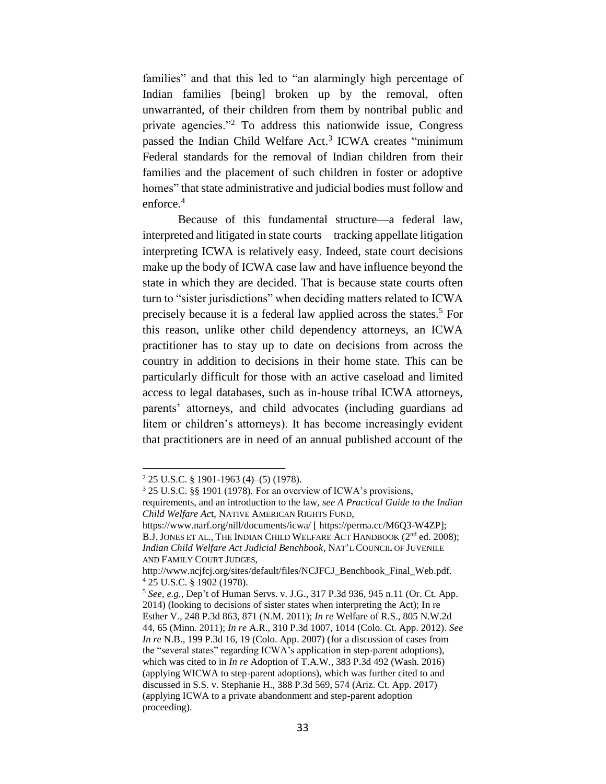families" and that this led to "an alarmingly high percentage of Indian families [being] broken up by the removal, often unwarranted, of their children from them by nontribal public and private agencies."<sup>2</sup> To address this nationwide issue, Congress passed the Indian Child Welfare Act.<sup>3</sup> ICWA creates "minimum Federal standards for the removal of Indian children from their families and the placement of such children in foster or adoptive homes" that state administrative and judicial bodies must follow and enforce. 4

Because of this fundamental structure—a federal law, interpreted and litigated in state courts—tracking appellate litigation interpreting ICWA is relatively easy. Indeed, state court decisions make up the body of ICWA case law and have influence beyond the state in which they are decided. That is because state courts often turn to "sister jurisdictions" when deciding matters related to ICWA precisely because it is a federal law applied across the states.<sup>5</sup> For this reason, unlike other child dependency attorneys, an ICWA practitioner has to stay up to date on decisions from across the country in addition to decisions in their home state. This can be particularly difficult for those with an active caseload and limited access to legal databases, such as in-house tribal ICWA attorneys, parents' attorneys, and child advocates (including guardians ad litem or children's attorneys). It has become increasingly evident that practitioners are in need of an annual published account of the

<sup>2</sup> 25 U.S.C. § 1901-1963 (4)–(5) (1978).

<sup>3</sup> 25 U.S.C. §§ 1901 (1978). For an overview of ICWA's provisions,

requirements, and an introduction to the law, *see A Practical Guide to the Indian Child Welfare Ac*t, NATIVE AMERICAN RIGHTS FUND,

https://www.narf.org/nill/documents/icwa/ [ https://perma.cc/M6Q3-W4ZP]; B.J. JONES ET AL., THE INDIAN CHILD WELFARE ACT HANDBOOK ( $2<sup>nd</sup>$  ed. 2008); *Indian Child Welfare Act Judicial Benchbook*, NAT'L COUNCIL OF JUVENILE AND FAMILY COURT JUDGES,

http://www.ncjfcj.org/sites/default/files/NCJFCJ\_Benchbook\_Final\_Web.pdf. <sup>4</sup> 25 U.S.C. § 1902 (1978).

<sup>5</sup> *See, e.g.*, Dep't of Human Servs. v. J.G., 317 P.3d 936, 945 n.11 (Or. Ct. App. 2014) (looking to decisions of sister states when interpreting the Act); In re Esther V*.*, 248 P.3d 863, 871 (N.M. 2011); *In re* Welfare of R.S., 805 N.W.2d 44, 65 (Minn. 2011); *In re* A.R., 310 P.3d 1007, 1014 (Colo. Ct. App. 2012). *See In re* N.B., 199 P.3d 16, 19 (Colo. App. 2007) (for a discussion of cases from the "several states" regarding ICWA's application in step-parent adoptions), which was cited to in *In re* Adoption of T.A.W*.*, 383 P.3d 492 (Wash. 2016) (applying WICWA to step-parent adoptions), which was further cited to and discussed in S.S. v. Stephanie H., 388 P.3d 569, 574 (Ariz. Ct. App. 2017) (applying ICWA to a private abandonment and step-parent adoption proceeding).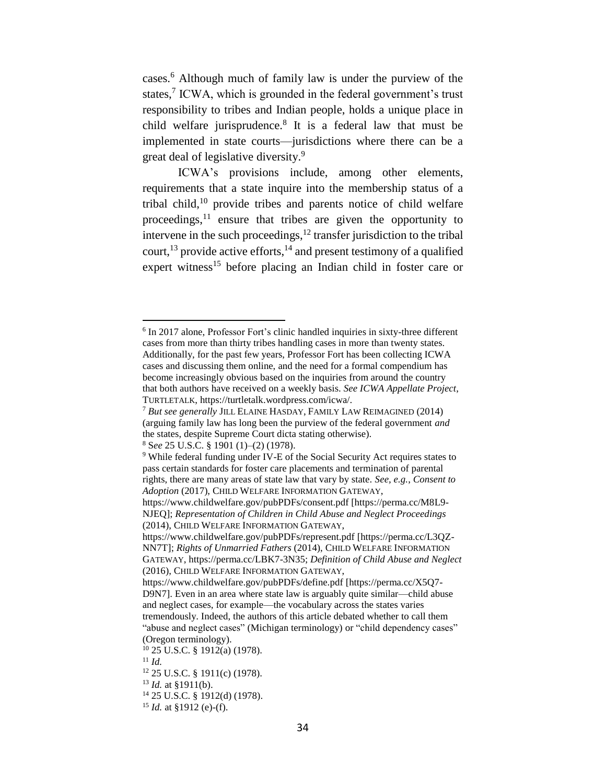cases.<sup>6</sup> Although much of family law is under the purview of the states,<sup>7</sup> ICWA, which is grounded in the federal government's trust responsibility to tribes and Indian people, holds a unique place in child welfare jurisprudence.<sup>8</sup> It is a federal law that must be implemented in state courts—jurisdictions where there can be a great deal of legislative diversity. 9

ICWA's provisions include, among other elements, requirements that a state inquire into the membership status of a tribal child,<sup>10</sup> provide tribes and parents notice of child welfare proceedings, $11$  ensure that tribes are given the opportunity to intervene in the such proceedings, <sup>12</sup> transfer jurisdiction to the tribal court,<sup>13</sup> provide active efforts,  $14$  and present testimony of a qualified expert witness<sup>15</sup> before placing an Indian child in foster care or

<sup>8</sup> S*ee* 25 U.S.C. § 1901 (1)–(2) (1978).

<sup>&</sup>lt;sup>6</sup> In 2017 alone, Professor Fort's clinic handled inquiries in sixty-three different cases from more than thirty tribes handling cases in more than twenty states. Additionally, for the past few years, Professor Fort has been collecting ICWA cases and discussing them online, and the need for a formal compendium has become increasingly obvious based on the inquiries from around the country that both authors have received on a weekly basis. *See ICWA Appellate Project*, TURTLETALK, https://turtletalk.wordpress.com/icwa/.

<sup>7</sup> *But see generally* JILL ELAINE HASDAY, FAMILY LAW REIMAGINED (2014) (arguing family law has long been the purview of the federal government *and*  the states, despite Supreme Court dicta stating otherwise).

<sup>9</sup> While federal funding under IV-E of the Social Security Act requires states to pass certain standards for foster care placements and termination of parental rights, there are many areas of state law that vary by state. *See, e.g.*, *Consent to Adoption* (2017), CHILD WELFARE INFORMATION GATEWAY,

https://www.childwelfare.gov/pubPDFs/consent.pdf [https://perma.cc/M8L9- NJEQ]; *Representation of Children in Child Abuse and Neglect Proceedings* (2014), CHILD WELFARE INFORMATION GATEWAY,

https://www.childwelfare.gov/pubPDFs/represent.pdf [https://perma.cc/L3QZ-NN7T]; *Rights of Unmarried Fathers* (2014), CHILD WELFARE INFORMATION GATEWAY, https://perma.cc/LBK7-3N35; *Definition of Child Abuse and Neglect*  (2016), CHILD WELFARE INFORMATION GATEWAY,

https://www.childwelfare.gov/pubPDFs/define.pdf [https://perma.cc/X5Q7- D9N7]. Even in an area where state law is arguably quite similar—child abuse and neglect cases, for example—the vocabulary across the states varies tremendously. Indeed, the authors of this article debated whether to call them "abuse and neglect cases" (Michigan terminology) or "child dependency cases" (Oregon terminology).

<sup>10</sup> 25 U.S.C. § 1912(a) (1978).

<sup>11</sup> *Id.*

<sup>12</sup> 25 U.S.C. § 1911(c) (1978).

<sup>13</sup> *Id.* at §1911(b).

<sup>14</sup> 25 U.S.C. § 1912(d) (1978).

<sup>15</sup> *Id.* at §1912 (e)-(f).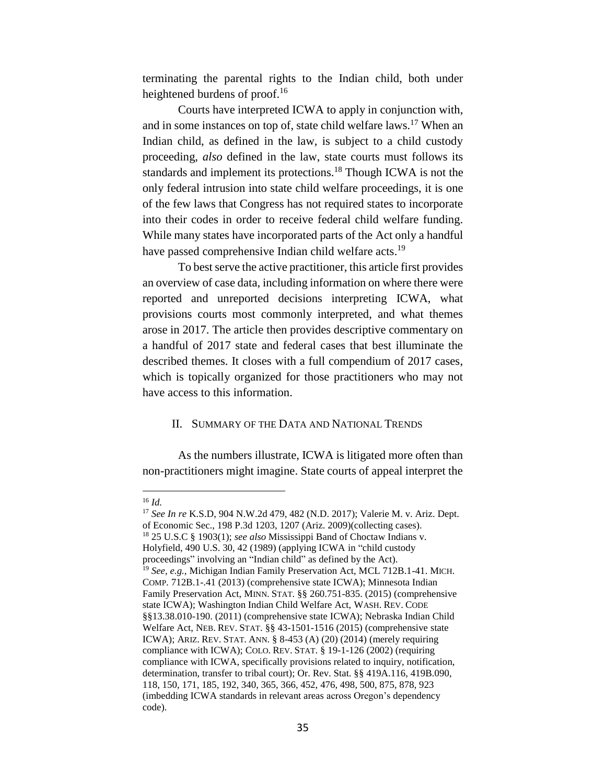terminating the parental rights to the Indian child, both under heightened burdens of proof.<sup>16</sup>

Courts have interpreted ICWA to apply in conjunction with, and in some instances on top of, state child welfare laws. <sup>17</sup> When an Indian child, as defined in the law, is subject to a child custody proceeding, *also* defined in the law, state courts must follows its standards and implement its protections.<sup>18</sup> Though ICWA is not the only federal intrusion into state child welfare proceedings, it is one of the few laws that Congress has not required states to incorporate into their codes in order to receive federal child welfare funding. While many states have incorporated parts of the Act only a handful have passed comprehensive Indian child welfare acts.<sup>19</sup>

To best serve the active practitioner, this article first provides an overview of case data, including information on where there were reported and unreported decisions interpreting ICWA, what provisions courts most commonly interpreted, and what themes arose in 2017. The article then provides descriptive commentary on a handful of 2017 state and federal cases that best illuminate the described themes. It closes with a full compendium of 2017 cases, which is topically organized for those practitioners who may not have access to this information.

## II. SUMMARY OF THE DATA AND NATIONAL TRENDS

As the numbers illustrate, ICWA is litigated more often than non-practitioners might imagine. State courts of appeal interpret the

<sup>16</sup> *Id.*

<sup>17</sup> *See In re* K.S.D, 904 N.W.2d 479, 482 (N.D. 2017); Valerie M. v. Ariz. Dept. of Economic Sec., 198 P.3d 1203, 1207 (Ariz. 2009)(collecting cases). <sup>18</sup> 25 U.S.C § 1903(1); *see also* Mississippi Band of Choctaw Indians v. Holyfield, 490 U.S. 30, 42 (1989) (applying ICWA in "child custody proceedings" involving an "Indian child" as defined by the Act). <sup>19</sup> *See, e.g.*, Michigan Indian Family Preservation Act, MCL 712B.1-41. MICH. COMP. 712B.1-.41 (2013) (comprehensive state ICWA); Minnesota Indian Family Preservation Act, MINN. STAT. §§ 260.751-835. (2015) (comprehensive state ICWA); Washington Indian Child Welfare Act, WASH. REV. CODE §§13.38.010-190. (2011) (comprehensive state ICWA); Nebraska Indian Child Welfare Act, NEB. REV. STAT. §§ 43-1501-1516 (2015) (comprehensive state ICWA); ARIZ. REV. STAT. ANN. § 8-453 (A) (20) (2014) (merely requiring compliance with ICWA); COLO. REV. STAT. § 19-1-126 (2002) (requiring compliance with ICWA, specifically provisions related to inquiry, notification, determination, transfer to tribal court); Or. Rev. Stat. §§ 419A.116, 419B.090, 118, 150, 171, 185, 192, 340, 365, 366, 452, 476, 498, 500, 875, 878, 923 (imbedding ICWA standards in relevant areas across Oregon's dependency code).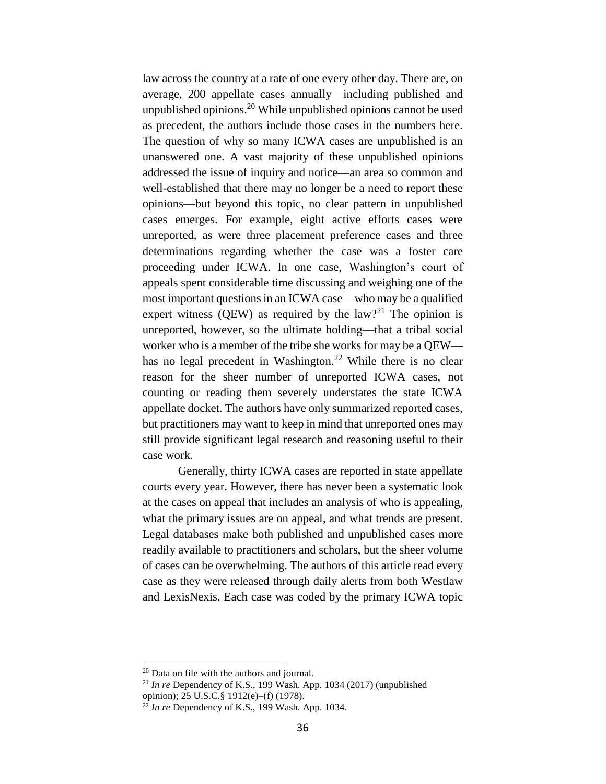law across the country at a rate of one every other day. There are, on average, 200 appellate cases annually—including published and unpublished opinions. <sup>20</sup> While unpublished opinions cannot be used as precedent, the authors include those cases in the numbers here. The question of why so many ICWA cases are unpublished is an unanswered one. A vast majority of these unpublished opinions addressed the issue of inquiry and notice—an area so common and well-established that there may no longer be a need to report these opinions—but beyond this topic, no clear pattern in unpublished cases emerges. For example, eight active efforts cases were unreported, as were three placement preference cases and three determinations regarding whether the case was a foster care proceeding under ICWA. In one case, Washington's court of appeals spent considerable time discussing and weighing one of the most important questions in an ICWA case—who may be a qualified expert witness (QEW) as required by the  $law$ <sup>21</sup> The opinion is unreported, however, so the ultimate holding—that a tribal social worker who is a member of the tribe she works for may be a QEW has no legal precedent in Washington.<sup>22</sup> While there is no clear reason for the sheer number of unreported ICWA cases, not counting or reading them severely understates the state ICWA appellate docket. The authors have only summarized reported cases, but practitioners may want to keep in mind that unreported ones may still provide significant legal research and reasoning useful to their case work.

Generally, thirty ICWA cases are reported in state appellate courts every year. However, there has never been a systematic look at the cases on appeal that includes an analysis of who is appealing, what the primary issues are on appeal, and what trends are present. Legal databases make both published and unpublished cases more readily available to practitioners and scholars, but the sheer volume of cases can be overwhelming. The authors of this article read every case as they were released through daily alerts from both Westlaw and LexisNexis. Each case was coded by the primary ICWA topic

<sup>20</sup> Data on file with the authors and journal.

<sup>21</sup> *In re* Dependency of K.S*.*, 199 Wash. App. 1034 (2017) (unpublished opinion); 25 U.S.C.§ 1912(e)–(f) (1978).

 $^{22}$  *In re* Dependency of K.S., 199 Wash. App. 1034.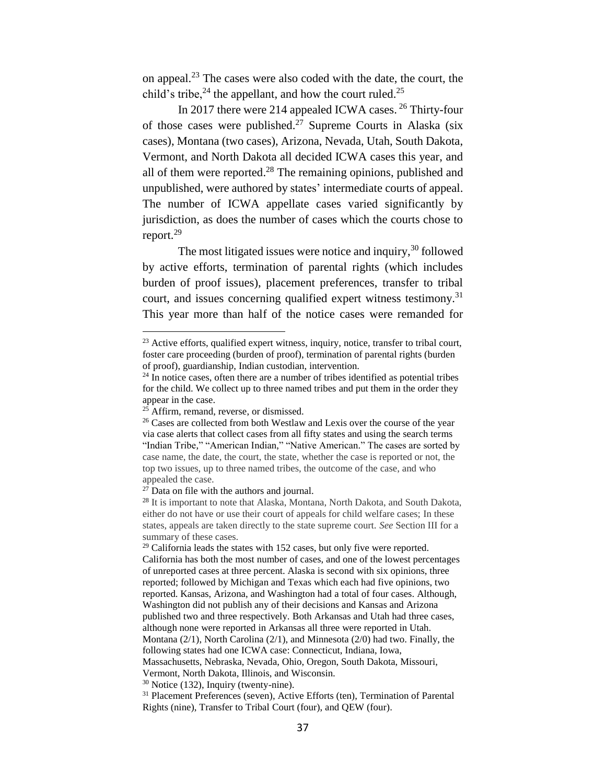on appeal.<sup>23</sup> The cases were also coded with the date, the court, the child's tribe,  $24$  the appellant, and how the court ruled.  $25$ 

In 2017 there were 214 appealed ICWA cases. <sup>26</sup> Thirty-four of those cases were published.<sup>27</sup> Supreme Courts in Alaska (six cases), Montana (two cases), Arizona, Nevada, Utah, South Dakota, Vermont, and North Dakota all decided ICWA cases this year, and all of them were reported. $2<sup>8</sup>$  The remaining opinions, published and unpublished, were authored by states' intermediate courts of appeal. The number of ICWA appellate cases varied significantly by jurisdiction, as does the number of cases which the courts chose to report.<sup>29</sup>

The most litigated issues were notice and inquiry, $30$  followed by active efforts, termination of parental rights (which includes burden of proof issues), placement preferences, transfer to tribal court, and issues concerning qualified expert witness testimony.<sup>31</sup> This year more than half of the notice cases were remanded for

<sup>&</sup>lt;sup>23</sup> Active efforts, qualified expert witness, inquiry, notice, transfer to tribal court, foster care proceeding (burden of proof), termination of parental rights (burden of proof), guardianship, Indian custodian, intervention.

 $24$  In notice cases, often there are a number of tribes identified as potential tribes for the child. We collect up to three named tribes and put them in the order they appear in the case.

 $25$  Affirm, remand, reverse, or dismissed.

<sup>&</sup>lt;sup>26</sup> Cases are collected from both Westlaw and Lexis over the course of the year via case alerts that collect cases from all fifty states and using the search terms "Indian Tribe," "American Indian," "Native American." The cases are sorted by case name, the date, the court, the state, whether the case is reported or not, the top two issues, up to three named tribes, the outcome of the case, and who appealed the case.

 $2^7$  Data on file with the authors and journal.

<sup>&</sup>lt;sup>28</sup> It is important to note that Alaska, Montana, North Dakota, and South Dakota, either do not have or use their court of appeals for child welfare cases; In these states, appeals are taken directly to the state supreme court. *See* Section III for a summary of these cases.

 $29$  California leads the states with 152 cases, but only five were reported. California has both the most number of cases, and one of the lowest percentages of unreported cases at three percent. Alaska is second with six opinions, three reported; followed by Michigan and Texas which each had five opinions, two reported. Kansas, Arizona, and Washington had a total of four cases. Although, Washington did not publish any of their decisions and Kansas and Arizona published two and three respectively. Both Arkansas and Utah had three cases, although none were reported in Arkansas all three were reported in Utah. Montana (2/1), North Carolina (2/1), and Minnesota (2/0) had two. Finally, the following states had one ICWA case: Connecticut, Indiana, Iowa, Massachusetts, Nebraska, Nevada, Ohio, Oregon, South Dakota, Missouri, Vermont, North Dakota, Illinois, and Wisconsin.

 $30$  Notice (132), Inquiry (twenty-nine).

<sup>&</sup>lt;sup>31</sup> Placement Preferences (seven), Active Efforts (ten), Termination of Parental Rights (nine), Transfer to Tribal Court (four), and QEW (four).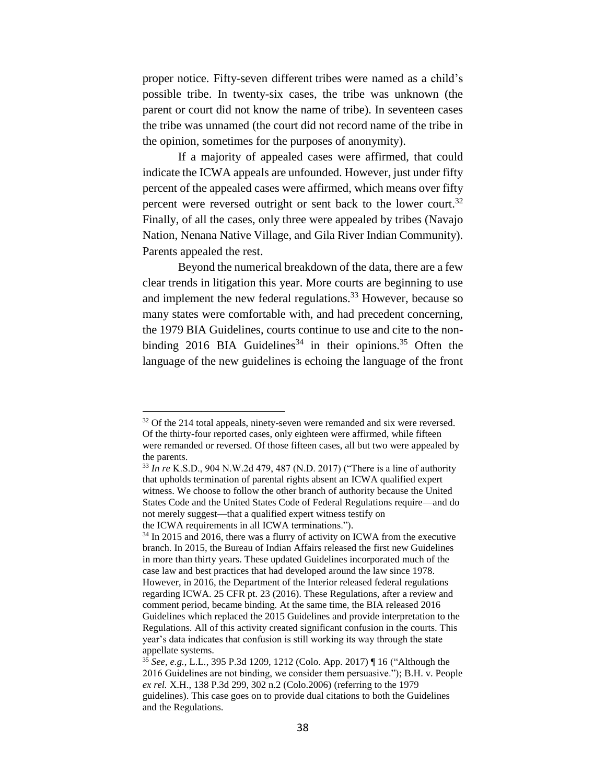proper notice. Fifty-seven different tribes were named as a child's possible tribe. In twenty-six cases, the tribe was unknown (the parent or court did not know the name of tribe). In seventeen cases the tribe was unnamed (the court did not record name of the tribe in the opinion, sometimes for the purposes of anonymity).

If a majority of appealed cases were affirmed, that could indicate the ICWA appeals are unfounded. However, just under fifty percent of the appealed cases were affirmed, which means over fifty percent were reversed outright or sent back to the lower court.<sup>32</sup> Finally, of all the cases, only three were appealed by tribes (Navajo Nation, Nenana Native Village, and Gila River Indian Community). Parents appealed the rest.

Beyond the numerical breakdown of the data, there are a few clear trends in litigation this year. More courts are beginning to use and implement the new federal regulations.<sup>33</sup> However, because so many states were comfortable with, and had precedent concerning, the 1979 BIA Guidelines, courts continue to use and cite to the nonbinding 2016 BIA Guidelines<sup>34</sup> in their opinions.<sup>35</sup> Often the language of the new guidelines is echoing the language of the front

 $32$  Of the 214 total appeals, ninety-seven were remanded and six were reversed. Of the thirty-four reported cases, only eighteen were affirmed, while fifteen were remanded or reversed. Of those fifteen cases, all but two were appealed by the parents.

<sup>33</sup> *In re* K.S.D., 904 N.W.2d 479, 487 (N.D. 2017) ("There is a line of authority that upholds termination of parental rights absent an ICWA qualified expert witness. We choose to follow the other branch of authority because the United States Code and the United States Code of Federal Regulations require—and do not merely suggest—that a qualified expert witness testify on the ICWA requirements in all ICWA terminations.").

 $34$  In 2015 and 2016, there was a flurry of activity on ICWA from the executive branch. In 2015, the Bureau of Indian Affairs released the first new Guidelines in more than thirty years. These updated Guidelines incorporated much of the case law and best practices that had developed around the law since 1978. However, in 2016, the Department of the Interior released federal regulations regarding ICWA. 25 CFR pt. 23 (2016). These Regulations, after a review and comment period, became binding. At the same time, the BIA released 2016 Guidelines which replaced the 2015 Guidelines and provide interpretation to the Regulations. All of this activity created significant confusion in the courts. This year's data indicates that confusion is still working its way through the state appellate systems.

<sup>35</sup> *See, e.g.*, L.L*.*, 395 P.3d 1209, 1212 (Colo. App. 2017) ¶ 16 ("Although the 2016 Guidelines are not binding, we consider them persuasive."); B.H. v. People *ex rel.* X.H., 138 P.3d 299, 302 n.2 (Colo.2006) (referring to the 1979 guidelines). This case goes on to provide dual citations to both the Guidelines and the Regulations.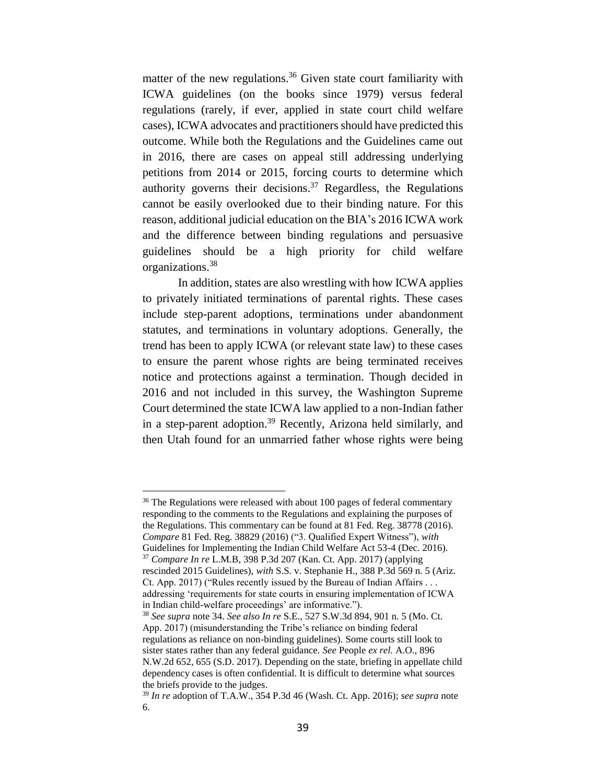matter of the new regulations.<sup>36</sup> Given state court familiarity with ICWA guidelines (on the books since 1979) versus federal regulations (rarely, if ever, applied in state court child welfare cases), ICWA advocates and practitioners should have predicted this outcome. While both the Regulations and the Guidelines came out in 2016, there are cases on appeal still addressing underlying petitions from 2014 or 2015, forcing courts to determine which authority governs their decisions.<sup>37</sup> Regardless, the Regulations cannot be easily overlooked due to their binding nature. For this reason, additional judicial education on the BIA's 2016 ICWA work and the difference between binding regulations and persuasive guidelines should be a high priority for child welfare organizations. 38

In addition, states are also wrestling with how ICWA applies to privately initiated terminations of parental rights. These cases include step-parent adoptions, terminations under abandonment statutes, and terminations in voluntary adoptions. Generally, the trend has been to apply ICWA (or relevant state law) to these cases to ensure the parent whose rights are being terminated receives notice and protections against a termination. Though decided in 2016 and not included in this survey, the Washington Supreme Court determined the state ICWA law applied to a non-Indian father in a step-parent adoption.<sup>39</sup> Recently, Arizona held similarly, and then Utah found for an unmarried father whose rights were being

<sup>36</sup> The Regulations were released with about 100 pages of federal commentary responding to the comments to the Regulations and explaining the purposes of the Regulations. This commentary can be found at 81 Fed. Reg. 38778 (2016). *Compare* 81 Fed. Reg. 38829 (2016) ("3. Qualified Expert Witness"), *with* Guidelines for Implementing the Indian Child Welfare Act 53-4 (Dec. 2016). <sup>37</sup> *Compare In re* L.M.B, 398 P.3d 207 (Kan. Ct. App. 2017) (applying rescinded 2015 Guidelines), *with* S.S. v. Stephanie H., 388 P.3d 569 n. 5 (Ariz. Ct. App. 2017) ("Rules recently issued by the Bureau of Indian Affairs . . . addressing 'requirements for state courts in ensuring implementation of ICWA in Indian child-welfare proceedings' are informative.").

<sup>38</sup> *See supra* note 34. *See also In re* S.E., 527 S.W.3d 894, 901 n. 5 (Mo. Ct. App. 2017) (misunderstanding the Tribe's reliance on binding federal regulations as reliance on non-binding guidelines). Some courts still look to sister states rather than any federal guidance. *See* People *ex rel.* A.O., 896 N.W.2d 652, 655 (S.D. 2017). Depending on the state, briefing in appellate child dependency cases is often confidential. It is difficult to determine what sources the briefs provide to the judges.

<sup>39</sup> *In re* adoption of T.A.W., 354 P.3d 46 (Wash. Ct. App. 2016); *see supra* note 6.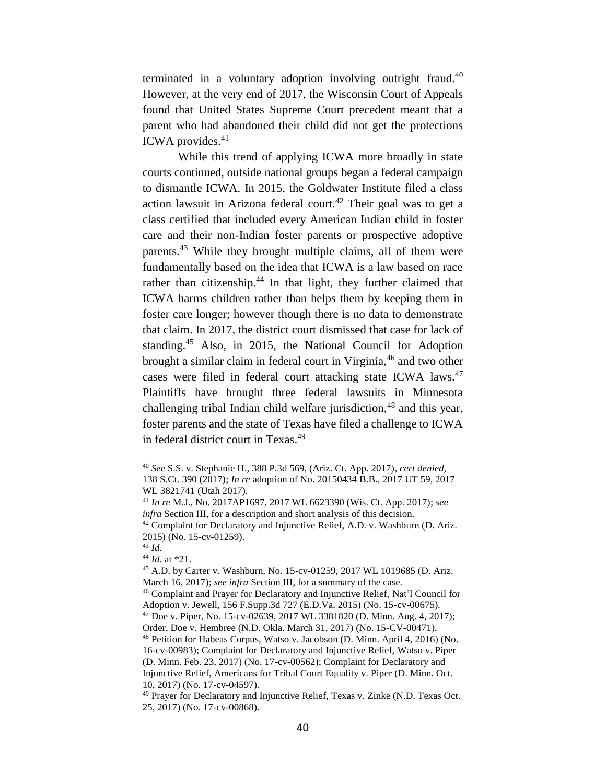terminated in a voluntary adoption involving outright fraud.<sup>40</sup> However, at the very end of 2017, the Wisconsin Court of Appeals found that United States Supreme Court precedent meant that a parent who had abandoned their child did not get the protections ICWA provides. 41

While this trend of applying ICWA more broadly in state courts continued, outside national groups began a federal campaign to dismantle ICWA. In 2015, the Goldwater Institute filed a class action lawsuit in Arizona federal court.<sup>42</sup> Their goal was to get a class certified that included every American Indian child in foster care and their non-Indian foster parents or prospective adoptive parents.<sup>43</sup> While they brought multiple claims, all of them were fundamentally based on the idea that ICWA is a law based on race rather than citizenship.<sup>44</sup> In that light, they further claimed that ICWA harms children rather than helps them by keeping them in foster care longer; however though there is no data to demonstrate that claim. In 2017, the district court dismissed that case for lack of standing.<sup>45</sup> Also, in 2015, the National Council for Adoption brought a similar claim in federal court in Virginia,<sup>46</sup> and two other cases were filed in federal court attacking state ICWA laws.<sup>47</sup> Plaintiffs have brought three federal lawsuits in Minnesota challenging tribal Indian child welfare jurisdiction,  $48$  and this year, foster parents and the state of Texas have filed a challenge to ICWA in federal district court in Texas. 49

<sup>40</sup> *See* S.S. v. Stephanie H., 388 P.3d 569, (Ariz. Ct. App. 2017), *cert denied,*  138 S.Ct. 390 (2017); *In re* adoption of No. 20150434 B.B., 2017 UT 59, 2017 WL 3821741 (Utah 2017).

<sup>41</sup> *In re* M.J., No. 2017AP1697, 2017 WL 6623390 (Wis. Ct. App. 2017); *see infra* Section III, for a description and short analysis of this decision. <sup>42</sup> Complaint for Declaratory and Injunctive Relief, A.D. v. Washburn (D. Ariz.

<sup>2015) (</sup>No. 15-cv-01259). <sup>43</sup> *Id.*

<sup>44</sup> *Id*. at \*21.

<sup>45</sup> A.D. by Carter v. Washburn, No. 15-cv-01259, 2017 WL 1019685 (D. Ariz. March 16, 2017); *see infra* Section III, for a summary of the case.

<sup>46</sup> Complaint and Prayer for Declaratory and Injunctive Relief, Nat'l Council for Adoption v. Jewell, 156 F.Supp.3d 727 (E.D.Va. 2015) (No. 15-cv-00675).

<sup>47</sup> Doe v. Piper, No. 15-cv-02639, 2017 WL 3381820 (D. Minn. Aug. 4, 2017); Order, Doe v. Hembree (N.D. Okla. March 31, 2017) (No. 15-CV-00471).

<sup>48</sup> Petition for Habeas Corpus, Watso v. Jacobson (D. Minn. April 4, 2016) (No. 16-cv-00983); Complaint for Declaratory and Injunctive Relief, Watso v. Piper (D. Minn. Feb. 23, 2017) (No. 17-cv-00562); Complaint for Declaratory and Injunctive Relief, Americans for Tribal Court Equality v. Piper (D. Minn. Oct. 10, 2017) (No. 17-cv-04597).

<sup>&</sup>lt;sup>49</sup> Prayer for Declaratory and Injunctive Relief, Texas v. Zinke (N.D. Texas Oct. 25, 2017) (No. 17-cv-00868).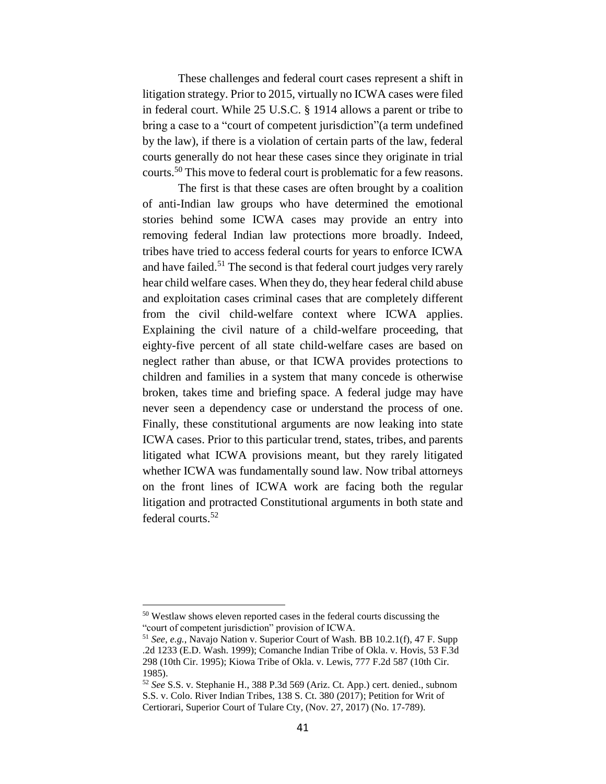These challenges and federal court cases represent a shift in litigation strategy. Prior to 2015, virtually no ICWA cases were filed in federal court. While 25 U.S.C. § 1914 allows a parent or tribe to bring a case to a "court of competent jurisdiction"(a term undefined by the law), if there is a violation of certain parts of the law, federal courts generally do not hear these cases since they originate in trial courts.<sup>50</sup> This move to federal court is problematic for a few reasons.

The first is that these cases are often brought by a coalition of anti-Indian law groups who have determined the emotional stories behind some ICWA cases may provide an entry into removing federal Indian law protections more broadly. Indeed, tribes have tried to access federal courts for years to enforce ICWA and have failed.<sup>51</sup> The second is that federal court judges very rarely hear child welfare cases. When they do, they hear federal child abuse and exploitation cases criminal cases that are completely different from the civil child-welfare context where ICWA applies. Explaining the civil nature of a child-welfare proceeding, that eighty-five percent of all state child-welfare cases are based on neglect rather than abuse, or that ICWA provides protections to children and families in a system that many concede is otherwise broken, takes time and briefing space. A federal judge may have never seen a dependency case or understand the process of one. Finally, these constitutional arguments are now leaking into state ICWA cases. Prior to this particular trend, states, tribes, and parents litigated what ICWA provisions meant, but they rarely litigated whether ICWA was fundamentally sound law. Now tribal attorneys on the front lines of ICWA work are facing both the regular litigation and protracted Constitutional arguments in both state and federal courts.<sup>52</sup>

<sup>50</sup> Westlaw shows eleven reported cases in the federal courts discussing the "court of competent jurisdiction" provision of ICWA.

<sup>51</sup> *See, e.g.*, Navajo Nation v. Superior Court of Wash. BB 10.2.1(f), 47 F. Supp .2d 1233 (E.D. Wash. 1999); Comanche Indian Tribe of Okla. v. Hovis, 53 F.3d 298 (10th Cir. 1995); Kiowa Tribe of Okla. v. Lewis, 777 F.2d 587 (10th Cir. 1985).

<sup>52</sup> *See* S.S. v. Stephanie H., 388 P.3d 569 (Ariz. Ct. App.) cert. denied., subnom S.S. v. Colo. River Indian Tribes, 138 S. Ct. 380 (2017); Petition for Writ of Certiorari, Superior Court of Tulare Cty, (Nov. 27, 2017) (No. 17-789).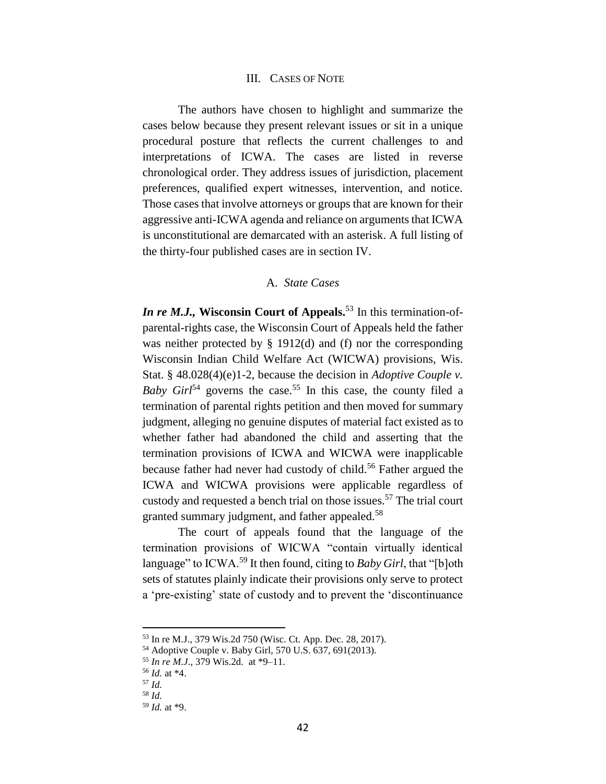## III. CASES OF NOTE

The authors have chosen to highlight and summarize the cases below because they present relevant issues or sit in a unique procedural posture that reflects the current challenges to and interpretations of ICWA. The cases are listed in reverse chronological order. They address issues of jurisdiction, placement preferences, qualified expert witnesses, intervention, and notice. Those cases that involve attorneys or groups that are known for their aggressive anti-ICWA agenda and reliance on arguments that ICWA is unconstitutional are demarcated with an asterisk. A full listing of the thirty-four published cases are in section IV.

# A. *State Cases*

*In re M.J.,* **Wisconsin Court of Appeals.**<sup>53</sup> In this termination-ofparental-rights case, the Wisconsin Court of Appeals held the father was neither protected by § 1912(d) and (f) nor the corresponding Wisconsin Indian Child Welfare Act (WICWA) provisions, Wis. Stat. § 48.028(4)(e)1-2, because the decision in *Adoptive Couple v. Baby Girl*<sup>54</sup> governs the case.<sup>55</sup> In this case, the county filed a termination of parental rights petition and then moved for summary judgment, alleging no genuine disputes of material fact existed as to whether father had abandoned the child and asserting that the termination provisions of ICWA and WICWA were inapplicable because father had never had custody of child.<sup>56</sup> Father argued the ICWA and WICWA provisions were applicable regardless of custody and requested a bench trial on those issues.<sup>57</sup> The trial court granted summary judgment, and father appealed.<sup>58</sup>

The court of appeals found that the language of the termination provisions of WICWA "contain virtually identical language" to ICWA.<sup>59</sup> It then found, citing to *Baby Girl*, that "[b]oth sets of statutes plainly indicate their provisions only serve to protect a 'pre-existing' state of custody and to prevent the 'discontinuance

<sup>53</sup> In re M.J., 379 Wis.2d 750 (Wisc. Ct. App. Dec. 28, 2017).

<sup>54</sup> Adoptive Couple v. Baby Girl, 570 U.S. 637, 691(2013).

<sup>55</sup> *In re M.J*., 379 Wis.2d. at \*9–11.

<sup>56</sup> *Id.* at \*4.

<sup>57</sup> *Id.*

<sup>58</sup> *Id.*

<sup>59</sup> *Id.* at \*9.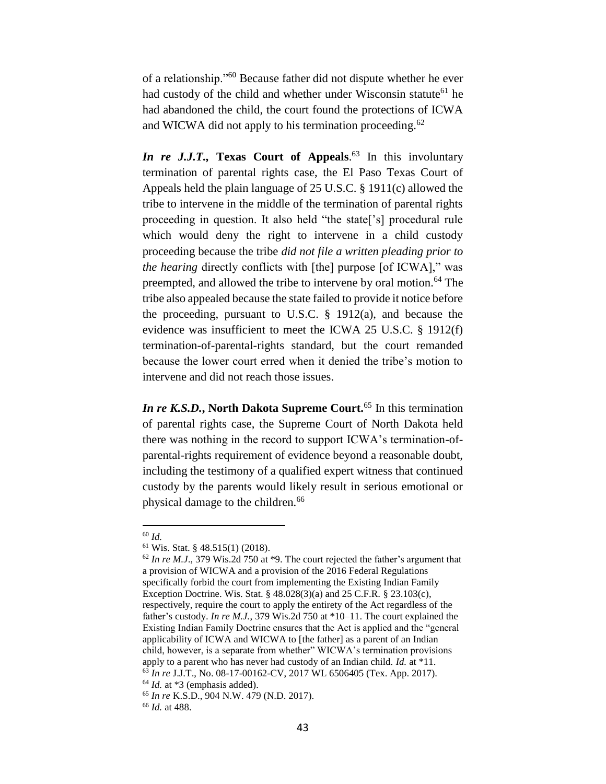of a relationship."<sup>60</sup> Because father did not dispute whether he ever had custody of the child and whether under Wisconsin statute<sup>61</sup> he had abandoned the child, the court found the protections of ICWA and WICWA did not apply to his termination proceeding.<sup>62</sup>

*In re J.J.T.,* **Texas Court of Appeals**. <sup>63</sup> In this involuntary termination of parental rights case, the El Paso Texas Court of Appeals held the plain language of 25 U.S.C. § 1911(c) allowed the tribe to intervene in the middle of the termination of parental rights proceeding in question. It also held "the state['s] procedural rule which would deny the right to intervene in a child custody proceeding because the tribe *did not file a written pleading prior to the hearing* directly conflicts with [the] purpose [of ICWA]," was preempted, and allowed the tribe to intervene by oral motion.<sup>64</sup> The tribe also appealed because the state failed to provide it notice before the proceeding, pursuant to U.S.C. § 1912(a), and because the evidence was insufficient to meet the ICWA 25 U.S.C. § 1912(f) termination-of-parental-rights standard, but the court remanded because the lower court erred when it denied the tribe's motion to intervene and did not reach those issues.

*In re K.S.D.***, North Dakota Supreme Court.**<sup>65</sup> In this termination of parental rights case, the Supreme Court of North Dakota held there was nothing in the record to support ICWA's termination-ofparental-rights requirement of evidence beyond a reasonable doubt, including the testimony of a qualified expert witness that continued custody by the parents would likely result in serious emotional or physical damage to the children.<sup>66</sup>

<sup>60</sup> *Id.*

<sup>61</sup> Wis. Stat. § 48.515(1) (2018).

<sup>62</sup> *In re M.J*., 379 Wis.2d 750 at \*9. The court rejected the father's argument that a provision of WICWA and a provision of the 2016 Federal Regulations specifically forbid the court from implementing the Existing Indian Family Exception Doctrine. Wis. Stat. § 48.028(3)(a) and 25 C.F.R. § 23.103(c), respectively, require the court to apply the entirety of the Act regardless of the father's custody. *In re M.J.*, 379 Wis.2d 750 at \*10–11. The court explained the Existing Indian Family Doctrine ensures that the Act is applied and the "general applicability of ICWA and WICWA to [the father] as a parent of an Indian child, however, is a separate from whether" WICWA's termination provisions apply to a parent who has never had custody of an Indian child. *Id.* at \*11. <sup>63</sup> *In re* J.J.T., No. 08-17-00162-CV, 2017 WL 6506405 (Tex. App. 2017). <sup>64</sup> *Id.* at \*3 (emphasis added).

<sup>65</sup> *In re* K.S.D., 904 N.W. 479 (N.D. 2017).

<sup>66</sup> *Id.* at 488.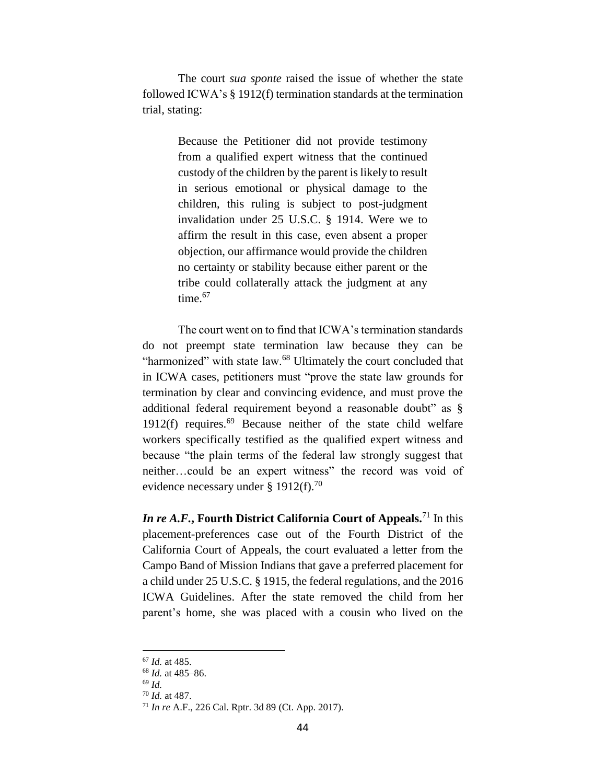The court *sua sponte* raised the issue of whether the state followed ICWA's § 1912(f) termination standards at the termination trial, stating:

> Because the Petitioner did not provide testimony from a qualified expert witness that the continued custody of the children by the parent is likely to result in serious emotional or physical damage to the children, this ruling is subject to post-judgment invalidation under 25 U.S.C. § 1914. Were we to affirm the result in this case, even absent a proper objection, our affirmance would provide the children no certainty or stability because either parent or the tribe could collaterally attack the judgment at any time.<sup>67</sup>

The court went on to find that ICWA's termination standards do not preempt state termination law because they can be "harmonized" with state law.<sup>68</sup> Ultimately the court concluded that in ICWA cases, petitioners must "prove the state law grounds for termination by clear and convincing evidence, and must prove the additional federal requirement beyond a reasonable doubt" as § 1912(f) requires. $69$  Because neither of the state child welfare workers specifically testified as the qualified expert witness and because "the plain terms of the federal law strongly suggest that neither…could be an expert witness" the record was void of evidence necessary under § 1912(f).<sup>70</sup>

*In re A.F.***, Fourth District California Court of Appeals.**<sup>71</sup> In this placement-preferences case out of the Fourth District of the California Court of Appeals, the court evaluated a letter from the Campo Band of Mission Indians that gave a preferred placement for a child under 25 U.S.C. § 1915, the federal regulations, and the 2016 ICWA Guidelines. After the state removed the child from her parent's home, she was placed with a cousin who lived on the

<sup>67</sup> *Id.* at 485.

<sup>68</sup> *Id.* at 485–86.

<sup>69</sup> *Id.*

<sup>70</sup> *Id.* at 487.

<sup>71</sup> *In re* A.F., 226 Cal. Rptr. 3d 89 (Ct. App. 2017).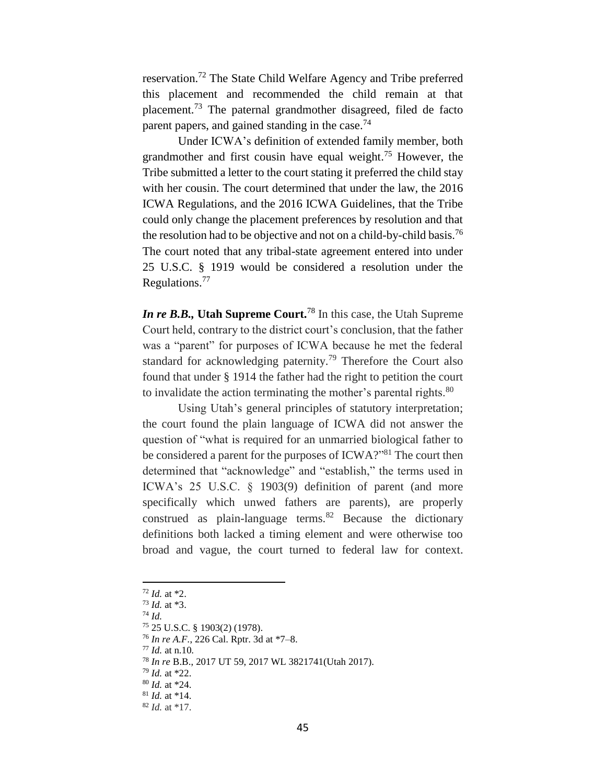reservation.<sup>72</sup> The State Child Welfare Agency and Tribe preferred this placement and recommended the child remain at that placement.<sup>73</sup> The paternal grandmother disagreed, filed de facto parent papers, and gained standing in the case.<sup>74</sup>

Under ICWA's definition of extended family member, both grandmother and first cousin have equal weight.<sup>75</sup> However, the Tribe submitted a letter to the court stating it preferred the child stay with her cousin. The court determined that under the law, the 2016 ICWA Regulations, and the 2016 ICWA Guidelines, that the Tribe could only change the placement preferences by resolution and that the resolution had to be objective and not on a child-by-child basis.<sup>76</sup> The court noted that any tribal-state agreement entered into under 25 U.S.C. § 1919 would be considered a resolution under the Regulations. 77

*In re B.B.,* **Utah Supreme Court.**<sup>78</sup> In this case, the Utah Supreme Court held, contrary to the district court's conclusion, that the father was a "parent" for purposes of ICWA because he met the federal standard for acknowledging paternity.<sup>79</sup> Therefore the Court also found that under § 1914 the father had the right to petition the court to invalidate the action terminating the mother's parental rights. $80$ 

Using Utah's general principles of statutory interpretation; the court found the plain language of ICWA did not answer the question of "what is required for an unmarried biological father to be considered a parent for the purposes of ICWA?"<sup>81</sup> The court then determined that "acknowledge" and "establish," the terms used in ICWA's 25 U.S.C. § 1903(9) definition of parent (and more specifically which unwed fathers are parents), are properly construed as plain-language terms. $82$  Because the dictionary definitions both lacked a timing element and were otherwise too broad and vague, the court turned to federal law for context.

 $\overline{a}$ 

<sup>77</sup> *Id.* at n.10*.*

<sup>72</sup> *Id.* at \*2.

<sup>73</sup> *Id.* at \*3.

<sup>74</sup> *Id.*

<sup>75</sup> 25 U.S.C. § 1903(2) (1978).

<sup>76</sup> *In re A.F.*, 226 Cal. Rptr. 3d at \*7–8.

<sup>78</sup> *In re* B.B., 2017 UT 59, 2017 WL 3821741(Utah 2017).

<sup>79</sup> *Id.* at \*22.

<sup>80</sup> *Id.* at \*24.

<sup>81</sup> *Id.* at \*14.

<sup>82</sup> *Id.* at \*17.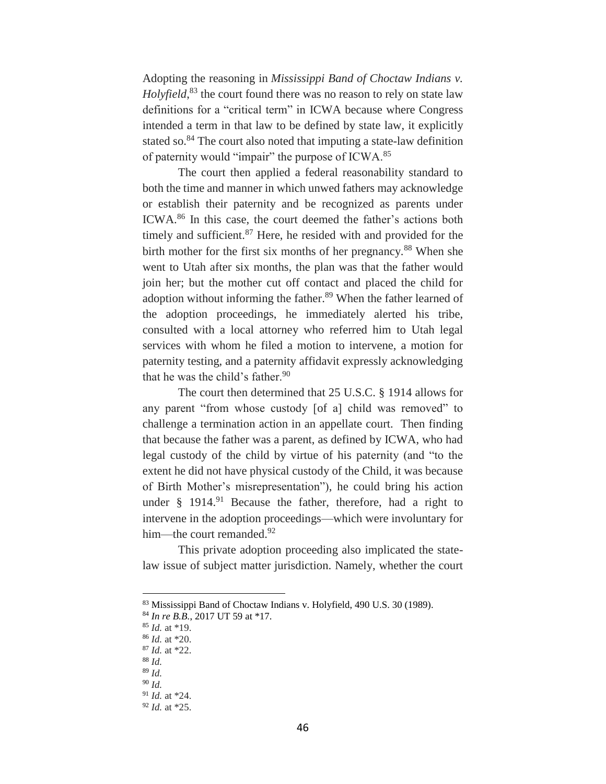Adopting the reasoning in *Mississippi Band of Choctaw Indians v. Holyfield*, <sup>83</sup> the court found there was no reason to rely on state law definitions for a "critical term" in ICWA because where Congress intended a term in that law to be defined by state law, it explicitly stated so.<sup>84</sup> The court also noted that imputing a state-law definition of paternity would "impair" the purpose of ICWA.<sup>85</sup>

The court then applied a federal reasonability standard to both the time and manner in which unwed fathers may acknowledge or establish their paternity and be recognized as parents under ICWA.<sup>86</sup> In this case, the court deemed the father's actions both timely and sufficient. $87$  Here, he resided with and provided for the birth mother for the first six months of her pregnancy.<sup>88</sup> When she went to Utah after six months, the plan was that the father would join her; but the mother cut off contact and placed the child for adoption without informing the father.<sup>89</sup> When the father learned of the adoption proceedings, he immediately alerted his tribe, consulted with a local attorney who referred him to Utah legal services with whom he filed a motion to intervene, a motion for paternity testing, and a paternity affidavit expressly acknowledging that he was the child's father.<sup>90</sup>

The court then determined that 25 U.S.C. § 1914 allows for any parent "from whose custody [of a] child was removed" to challenge a termination action in an appellate court. Then finding that because the father was a parent, as defined by ICWA, who had legal custody of the child by virtue of his paternity (and "to the extent he did not have physical custody of the Child, it was because of Birth Mother's misrepresentation"), he could bring his action under  $\S$  1914.<sup>91</sup> Because the father, therefore, had a right to intervene in the adoption proceedings—which were involuntary for him—the court remanded.<sup>92</sup>

This private adoption proceeding also implicated the statelaw issue of subject matter jurisdiction. Namely, whether the court

<sup>83</sup> Mississippi Band of Choctaw Indians v. Holyfield, 490 U.S. 30 (1989).

<sup>84</sup> *In re B.B.*, 2017 UT 59 at \*17.

<sup>85</sup> *Id.* at \*19.

<sup>86</sup> *Id.* at \*20.

<sup>87</sup> *Id.* at \*22.

<sup>88</sup> *Id.*

<sup>89</sup> *Id.*

<sup>90</sup> *Id.*

<sup>91</sup> *Id.* at \*24.

<sup>92</sup> *Id.* at \*25.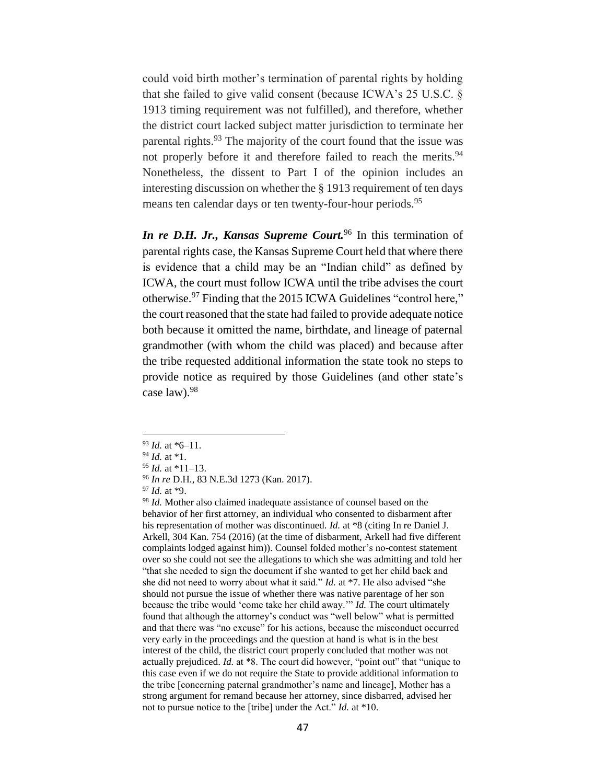could void birth mother's termination of parental rights by holding that she failed to give valid consent (because ICWA's 25 U.S.C. § 1913 timing requirement was not fulfilled), and therefore, whether the district court lacked subject matter jurisdiction to terminate her parental rights.<sup>93</sup> The majority of the court found that the issue was not properly before it and therefore failed to reach the merits.<sup>94</sup> Nonetheless, the dissent to Part I of the opinion includes an interesting discussion on whether the § 1913 requirement of ten days means ten calendar days or ten twenty-four-hour periods.<sup>95</sup>

*In re D.H. Jr., Kansas Supreme Court.*<sup>96</sup> In this termination of parental rights case, the Kansas Supreme Court held that where there is evidence that a child may be an "Indian child" as defined by ICWA, the court must follow ICWA until the tribe advises the court otherwise.<sup>97</sup> Finding that the 2015 ICWA Guidelines "control here," the court reasoned that the state had failed to provide adequate notice both because it omitted the name, birthdate, and lineage of paternal grandmother (with whom the child was placed) and because after the tribe requested additional information the state took no steps to provide notice as required by those Guidelines (and other state's case law).<sup>98</sup>

 $\overline{a}$ 

<sup>98</sup> *Id.* Mother also claimed inadequate assistance of counsel based on the behavior of her first attorney, an individual who consented to disbarment after his representation of mother was discontinued. *Id.* at \*8 (citing In re Daniel J. Arkell, 304 Kan. 754 (2016) (at the time of disbarment, Arkell had five different complaints lodged against him)). Counsel folded mother's no-contest statement over so she could not see the allegations to which she was admitting and told her "that she needed to sign the document if she wanted to get her child back and she did not need to worry about what it said." *Id.* at \*7. He also advised "she should not pursue the issue of whether there was native parentage of her son because the tribe would 'come take her child away.'" *Id.* The court ultimately found that although the attorney's conduct was "well below" what is permitted and that there was "no excuse" for his actions, because the misconduct occurred very early in the proceedings and the question at hand is what is in the best interest of the child, the district court properly concluded that mother was not actually prejudiced. *Id.* at \*8. The court did however, "point out" that "unique to this case even if we do not require the State to provide additional information to the tribe [concerning paternal grandmother's name and lineage], Mother has a strong argument for remand because her attorney, since disbarred, advised her not to pursue notice to the [tribe] under the Act." *Id.* at \*10.

<sup>93</sup> *Id.* at \*6–11.

<sup>94</sup> *Id.* at \*1.

<sup>95</sup> *Id.* at \*11–13.

<sup>96</sup> *In re* D.H., 83 N.E.3d 1273 (Kan. 2017).

<sup>97</sup> *Id.* at \*9.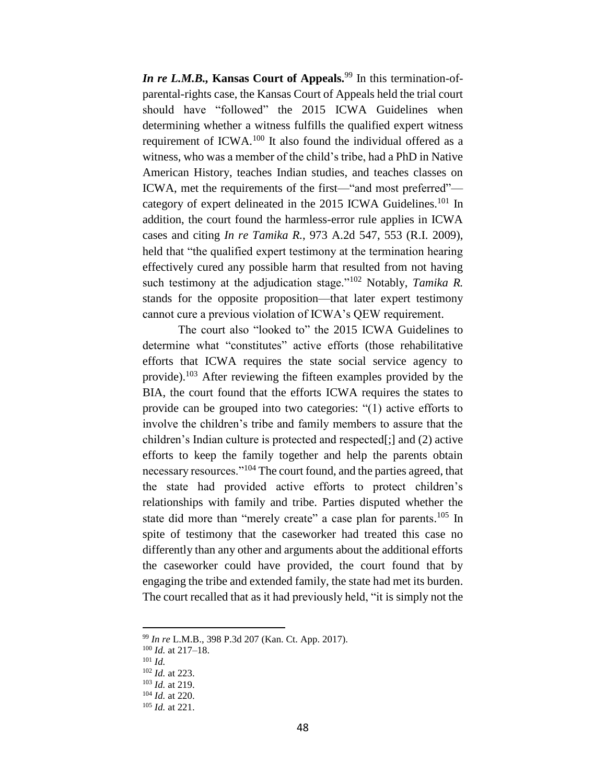*In re L.M.B.*, **Kansas Court of Appeals.**<sup>99</sup> In this termination-ofparental-rights case, the Kansas Court of Appeals held the trial court should have "followed" the 2015 ICWA Guidelines when determining whether a witness fulfills the qualified expert witness requirement of ICWA.<sup>100</sup> It also found the individual offered as a witness, who was a member of the child's tribe, had a PhD in Native American History, teaches Indian studies, and teaches classes on ICWA, met the requirements of the first—"and most preferred" category of expert delineated in the 2015 ICWA Guidelines.<sup>101</sup> In addition, the court found the harmless-error rule applies in ICWA cases and citing *In re Tamika R.*, 973 A.2d 547, 553 (R.I. 2009), held that "the qualified expert testimony at the termination hearing effectively cured any possible harm that resulted from not having such testimony at the adjudication stage."<sup>102</sup> Notably, *Tamika R.* stands for the opposite proposition—that later expert testimony cannot cure a previous violation of ICWA's QEW requirement.

The court also "looked to" the 2015 ICWA Guidelines to determine what "constitutes" active efforts (those rehabilitative efforts that ICWA requires the state social service agency to provide).<sup>103</sup> After reviewing the fifteen examples provided by the BIA, the court found that the efforts ICWA requires the states to provide can be grouped into two categories: "(1) active efforts to involve the children's tribe and family members to assure that the children's Indian culture is protected and respected[;] and (2) active efforts to keep the family together and help the parents obtain necessary resources."<sup>104</sup> The court found, and the parties agreed, that the state had provided active efforts to protect children's relationships with family and tribe. Parties disputed whether the state did more than "merely create" a case plan for parents.<sup>105</sup> In spite of testimony that the caseworker had treated this case no differently than any other and arguments about the additional efforts the caseworker could have provided, the court found that by engaging the tribe and extended family, the state had met its burden. The court recalled that as it had previously held, "it is simply not the

<sup>99</sup> *In re* L.M.B., 398 P.3d 207 (Kan. Ct. App. 2017).

<sup>100</sup> *Id.* at 217–18.

<sup>101</sup> *Id.*

<sup>102</sup> *Id.* at 223.

<sup>103</sup> *Id.* at 219.

<sup>104</sup> *Id.* at 220.

<sup>105</sup> *Id.* at 221.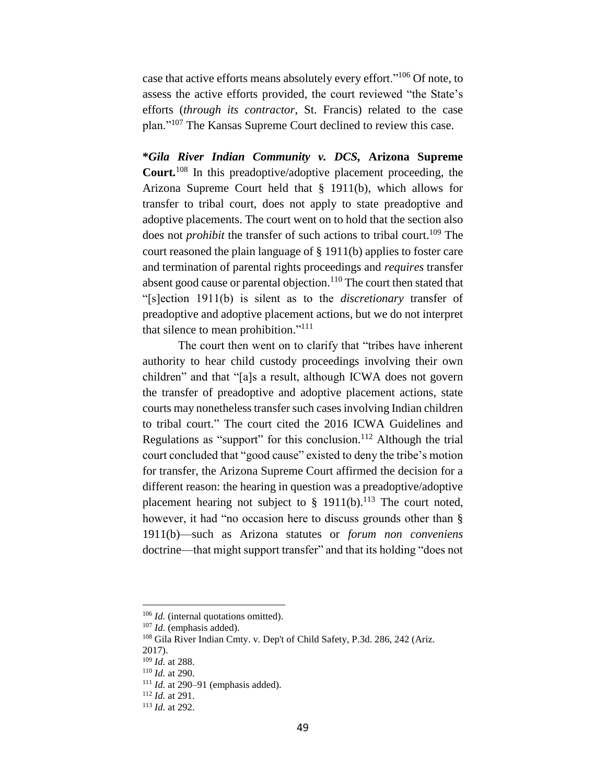case that active efforts means absolutely every effort."<sup>106</sup> Of note, to assess the active efforts provided, the court reviewed "the State's efforts (*through its contractor*, St. Francis) related to the case plan."<sup>107</sup> The Kansas Supreme Court declined to review this case.

**\****Gila River Indian Community v. DCS,* **Arizona Supreme Court.** <sup>108</sup> In this preadoptive/adoptive placement proceeding, the Arizona Supreme Court held that § 1911(b), which allows for transfer to tribal court, does not apply to state preadoptive and adoptive placements. The court went on to hold that the section also does not *prohibit* the transfer of such actions to tribal court. <sup>109</sup> The court reasoned the plain language of § 1911(b) applies to foster care and termination of parental rights proceedings and *requires* transfer absent good cause or parental objection.<sup>110</sup> The court then stated that "[s]ection 1911(b) is silent as to the *discretionary* transfer of preadoptive and adoptive placement actions, but we do not interpret that silence to mean prohibition."<sup>111</sup>

The court then went on to clarify that "tribes have inherent authority to hear child custody proceedings involving their own children" and that "[a]s a result, although ICWA does not govern the transfer of preadoptive and adoptive placement actions, state courts may nonetheless transfer such cases involving Indian children to tribal court." The court cited the 2016 ICWA Guidelines and Regulations as "support" for this conclusion.<sup>112</sup> Although the trial court concluded that "good cause" existed to deny the tribe's motion for transfer, the Arizona Supreme Court affirmed the decision for a different reason: the hearing in question was a preadoptive/adoptive placement hearing not subject to  $\S$  1911(b).<sup>113</sup> The court noted, however, it had "no occasion here to discuss grounds other than § 1911(b)—such as Arizona statutes or *forum non conveniens* doctrine—that might support transfer" and that its holding "does not

<sup>&</sup>lt;sup>106</sup> *Id.* (internal quotations omitted).

<sup>107</sup> *Id.* (emphasis added).

<sup>&</sup>lt;sup>108</sup> Gila River Indian Cmty. v. Dep't of Child Safety, P.3d. 286, 242 (Ariz. 2017).

<sup>109</sup> *Id.* at 288.

<sup>110</sup> *Id.* at 290.

<sup>111</sup> *Id.* at 290–91 (emphasis added).

<sup>112</sup> *Id.* at 291.

<sup>113</sup> *Id.* at 292.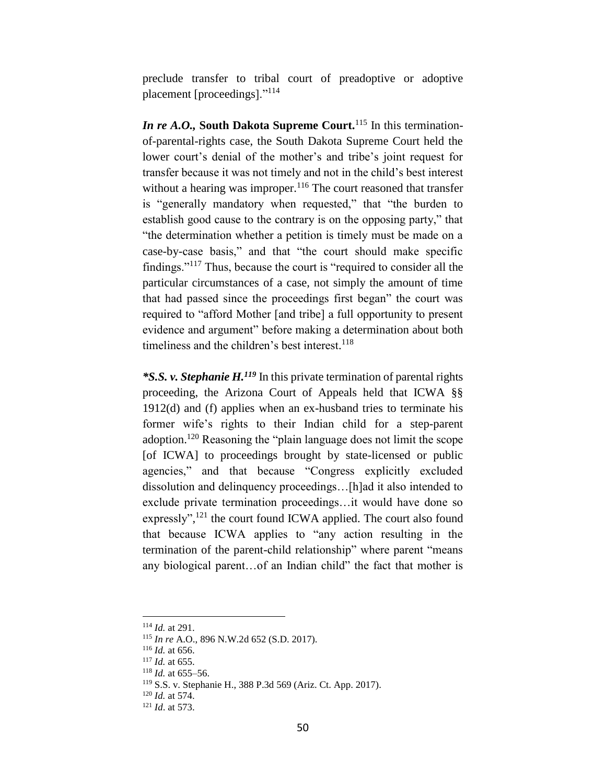preclude transfer to tribal court of preadoptive or adoptive placement [proceedings]."<sup>114</sup>

*In re A.O.*, South Dakota Supreme Court.<sup>115</sup> In this terminationof-parental-rights case, the South Dakota Supreme Court held the lower court's denial of the mother's and tribe's joint request for transfer because it was not timely and not in the child's best interest without a hearing was improper.<sup>116</sup> The court reasoned that transfer is "generally mandatory when requested," that "the burden to establish good cause to the contrary is on the opposing party," that "the determination whether a petition is timely must be made on a case-by-case basis," and that "the court should make specific findings."<sup>117</sup> Thus, because the court is "required to consider all the particular circumstances of a case, not simply the amount of time that had passed since the proceedings first began" the court was required to "afford Mother [and tribe] a full opportunity to present evidence and argument" before making a determination about both timeliness and the children's best interest.<sup>118</sup>

*\*S.S. v. Stephanie H.<sup>119</sup>* In this private termination of parental rights proceeding, the Arizona Court of Appeals held that ICWA §§ 1912(d) and (f) applies when an ex-husband tries to terminate his former wife's rights to their Indian child for a step-parent adoption.<sup>120</sup> Reasoning the "plain language does not limit the scope [of ICWA] to proceedings brought by state-licensed or public agencies," and that because "Congress explicitly excluded dissolution and delinquency proceedings…[h]ad it also intended to exclude private termination proceedings…it would have done so expressly",<sup>121</sup> the court found ICWA applied. The court also found that because ICWA applies to "any action resulting in the termination of the parent-child relationship" where parent "means any biological parent…of an Indian child" the fact that mother is

<sup>114</sup> *Id.* at 291.

<sup>115</sup> *In re* A.O., 896 N.W.2d 652 (S.D. 2017).

<sup>116</sup> *Id.* at 656.

<sup>117</sup> *Id.* at 655.

<sup>118</sup> *Id.* at 655–56.

<sup>119</sup> S.S. v. Stephanie H., 388 P.3d 569 (Ariz. Ct. App. 2017).

<sup>120</sup> *Id.* at 574.

<sup>121</sup> *Id*. at 573.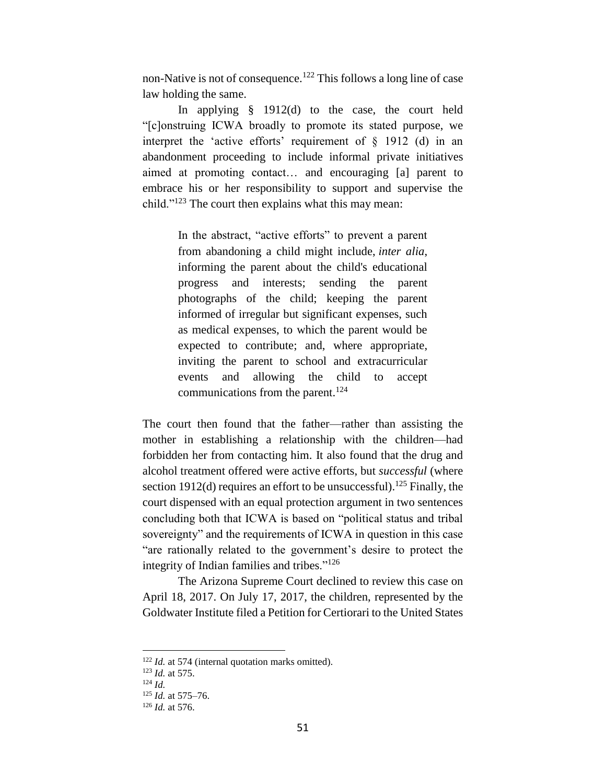non-Native is not of consequence.<sup>122</sup> This follows a long line of case law holding the same.

In applying § 1912(d) to the case, the court held "[c]onstruing ICWA broadly to promote its stated purpose, we interpret the 'active efforts' requirement of  $\S$  1912 (d) in an abandonment proceeding to include informal private initiatives aimed at promoting contact… and encouraging [a] parent to embrace his or her responsibility to support and supervise the child."<sup>123</sup> The court then explains what this may mean:

> In the abstract, "active efforts" to prevent a parent from abandoning a child might include, *inter alia*, informing the parent about the child's educational progress and interests; sending the parent photographs of the child; keeping the parent informed of irregular but significant expenses, such as medical expenses, to which the parent would be expected to contribute; and, where appropriate, inviting the parent to school and extracurricular events and allowing the child to accept communications from the parent.<sup>124</sup>

The court then found that the father—rather than assisting the mother in establishing a relationship with the children—had forbidden her from contacting him. It also found that the drug and alcohol treatment offered were active efforts, but *successful* (where section 1912(d) requires an effort to be unsuccessful).<sup>125</sup> Finally, the court dispensed with an equal protection argument in two sentences concluding both that ICWA is based on "political status and tribal sovereignty" and the requirements of ICWA in question in this case "are rationally related to the government's desire to protect the integrity of Indian families and tribes."<sup>126</sup>

The Arizona Supreme Court declined to review this case on April 18, 2017. On July 17, 2017, the children, represented by the Goldwater Institute filed a Petition for Certiorari to the United States

<sup>&</sup>lt;sup>122</sup> *Id.* at 574 (internal quotation marks omitted).

<sup>123</sup> *Id.* at 575.

<sup>124</sup> *Id.*

<sup>125</sup> *Id.* at 575–76.

<sup>126</sup> *Id.* at 576.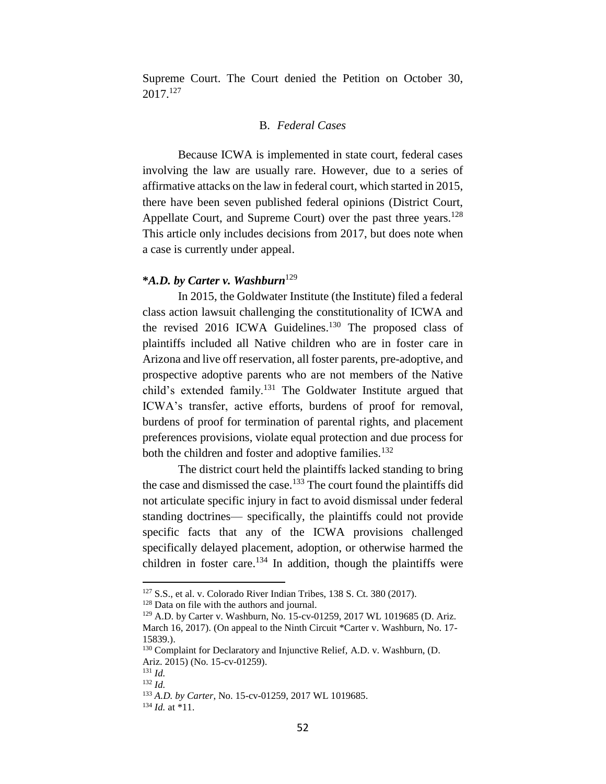Supreme Court. The Court denied the Petition on October 30, 2017. 127

# B. *Federal Cases*

Because ICWA is implemented in state court, federal cases involving the law are usually rare. However, due to a series of affirmative attacks on the law in federal court, which started in 2015, there have been seven published federal opinions (District Court, Appellate Court, and Supreme Court) over the past three years.<sup>128</sup> This article only includes decisions from 2017, but does note when a case is currently under appeal.

# **\****A.D. by Carter v. Washburn*<sup>129</sup>

In 2015, the Goldwater Institute (the Institute) filed a federal class action lawsuit challenging the constitutionality of ICWA and the revised 2016 ICWA Guidelines.<sup>130</sup> The proposed class of plaintiffs included all Native children who are in foster care in Arizona and live off reservation, all foster parents, pre-adoptive, and prospective adoptive parents who are not members of the Native child's extended family.<sup>131</sup> The Goldwater Institute argued that ICWA's transfer, active efforts, burdens of proof for removal, burdens of proof for termination of parental rights, and placement preferences provisions, violate equal protection and due process for both the children and foster and adoptive families.<sup>132</sup>

The district court held the plaintiffs lacked standing to bring the case and dismissed the case.<sup>133</sup> The court found the plaintiffs did not articulate specific injury in fact to avoid dismissal under federal standing doctrines— specifically, the plaintiffs could not provide specific facts that any of the ICWA provisions challenged specifically delayed placement, adoption, or otherwise harmed the children in foster care.<sup>134</sup> In addition, though the plaintiffs were

<sup>127</sup> S.S., et al. v. Colorado River Indian Tribes, 138 S. Ct. 380 (2017).

<sup>&</sup>lt;sup>128</sup> Data on file with the authors and journal.

<sup>129</sup> A.D. by Carter v. Washburn, No. 15-cv-01259, 2017 WL 1019685 (D. Ariz. March 16, 2017). (On appeal to the Ninth Circuit \*Carter v. Washburn, No. 17-15839.).

<sup>130</sup> Complaint for Declaratory and Injunctive Relief, A.D. v. Washburn, (D. Ariz. 2015) (No. 15-cv-01259).

<sup>131</sup> *Id.*

<sup>132</sup> *Id.*

<sup>133</sup> *A.D. by Carter*, No. 15-cv-01259, 2017 WL 1019685.

<sup>134</sup> *Id.* at \*11.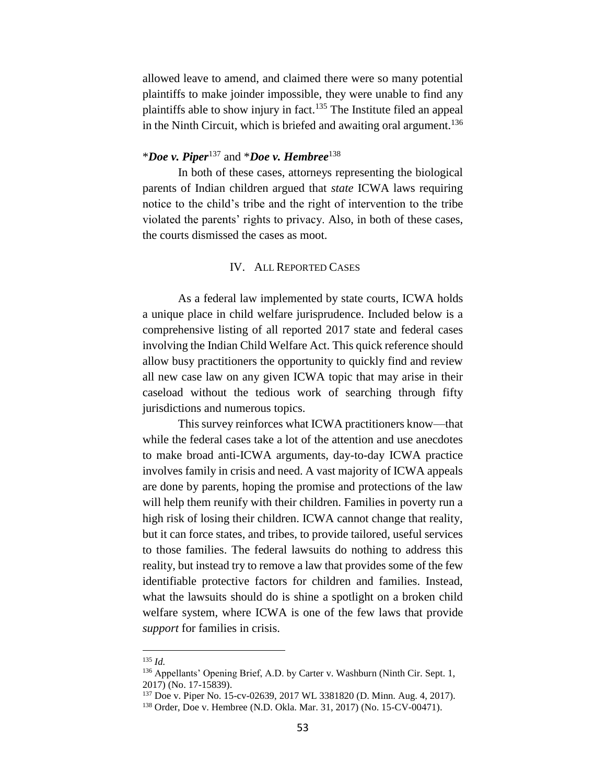allowed leave to amend, and claimed there were so many potential plaintiffs to make joinder impossible, they were unable to find any plaintiffs able to show injury in fact.<sup>135</sup> The Institute filed an appeal in the Ninth Circuit, which is briefed and awaiting oral argument. 136

# \**Doe v. Piper*<sup>137</sup> and \**Doe v. Hembree*<sup>138</sup>

In both of these cases, attorneys representing the biological parents of Indian children argued that *state* ICWA laws requiring notice to the child's tribe and the right of intervention to the tribe violated the parents' rights to privacy. Also, in both of these cases, the courts dismissed the cases as moot.

## IV. ALL REPORTED CASES

As a federal law implemented by state courts, ICWA holds a unique place in child welfare jurisprudence. Included below is a comprehensive listing of all reported 2017 state and federal cases involving the Indian Child Welfare Act. This quick reference should allow busy practitioners the opportunity to quickly find and review all new case law on any given ICWA topic that may arise in their caseload without the tedious work of searching through fifty jurisdictions and numerous topics.

This survey reinforces what ICWA practitioners know—that while the federal cases take a lot of the attention and use anecdotes to make broad anti-ICWA arguments, day-to-day ICWA practice involves family in crisis and need. A vast majority of ICWA appeals are done by parents, hoping the promise and protections of the law will help them reunify with their children. Families in poverty run a high risk of losing their children. ICWA cannot change that reality, but it can force states, and tribes, to provide tailored, useful services to those families. The federal lawsuits do nothing to address this reality, but instead try to remove a law that provides some of the few identifiable protective factors for children and families. Instead, what the lawsuits should do is shine a spotlight on a broken child welfare system, where ICWA is one of the few laws that provide *support* for families in crisis.

<sup>135</sup> *Id.*

<sup>&</sup>lt;sup>136</sup> Appellants' Opening Brief, A.D. by Carter v. Washburn (Ninth Cir. Sept. 1, 2017) (No. 17-15839).

<sup>137</sup> Doe v. Piper No. 15-cv-02639, 2017 WL 3381820 (D. Minn. Aug. 4, 2017).

<sup>138</sup> Order, Doe v. Hembree (N.D. Okla. Mar. 31, 2017) (No. 15-CV-00471).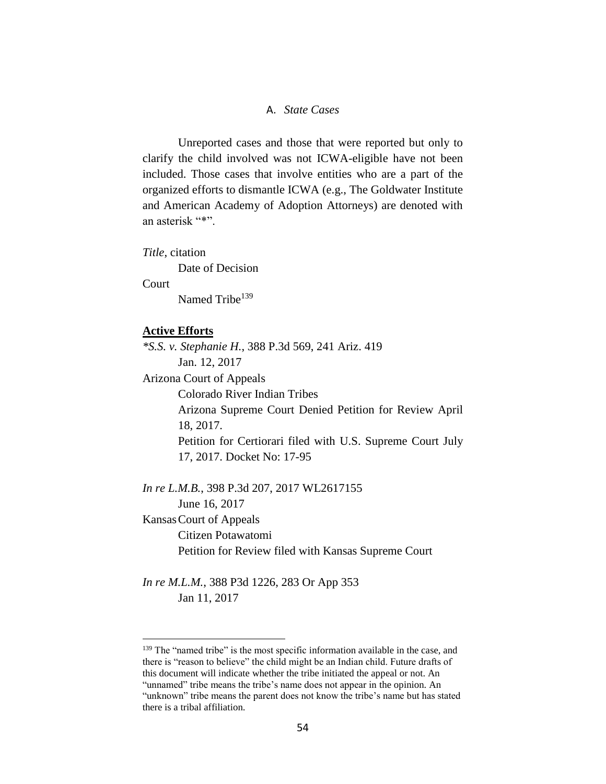# A. *State Cases*

Unreported cases and those that were reported but only to clarify the child involved was not ICWA-eligible have not been included. Those cases that involve entities who are a part of the organized efforts to dismantle ICWA (e.g., The Goldwater Institute and American Academy of Adoption Attorneys) are denoted with an asterisk "\*".

*Title*, citation

Date of Decision

Court

 $\overline{a}$ 

Named Tribe<sup>139</sup>

#### **Active Efforts**

*\*S.S. v. Stephanie H.*, 388 P.3d 569, 241 Ariz. 419 Jan. 12, 2017 Arizona Court of Appeals Colorado River Indian Tribes Arizona Supreme Court Denied Petition for Review April 18, 2017. Petition for Certiorari filed with U.S. Supreme Court July 17, 2017. Docket No: 17-95 *In re L.M.B.*, 398 P.3d 207, 2017 WL2617155 June 16, 2017 KansasCourt of Appeals Citizen Potawatomi Petition for Review filed with Kansas Supreme Court

*In re M.L.M.*, 388 P3d 1226, 283 Or App 353 Jan 11, 2017

<sup>&</sup>lt;sup>139</sup> The "named tribe" is the most specific information available in the case, and there is "reason to believe" the child might be an Indian child. Future drafts of this document will indicate whether the tribe initiated the appeal or not. An "unnamed" tribe means the tribe's name does not appear in the opinion. An "unknown" tribe means the parent does not know the tribe's name but has stated there is a tribal affiliation.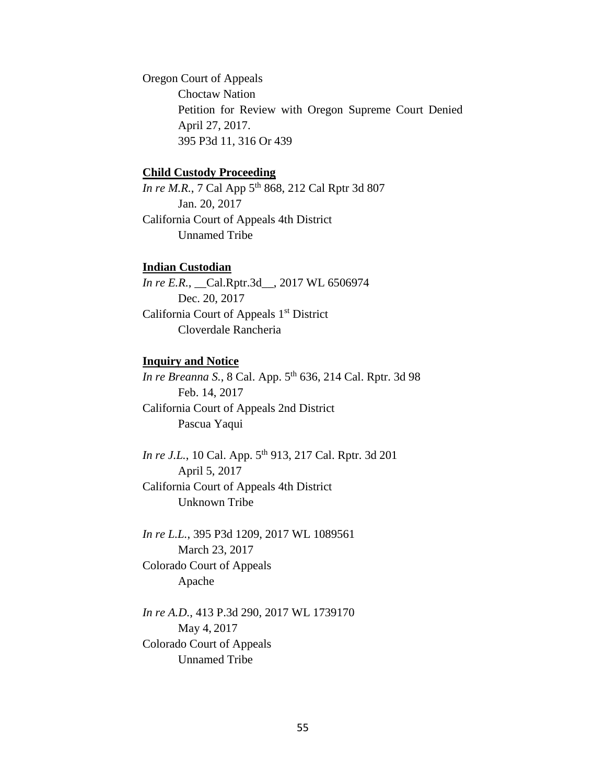Oregon Court of Appeals Choctaw Nation Petition for Review with Oregon Supreme Court Denied April 27, 2017. 395 P3d 11, 316 Or 439

#### **Child Custody Proceeding**

*In re M.R.*, 7 Cal App 5<sup>th</sup> 868, 212 Cal Rptr 3d 807 Jan. 20, 2017 California Court of Appeals 4th District Unnamed Tribe

## **Indian Custodian**

*In re E.R.*, \_\_Cal.Rptr.3d\_\_, 2017 WL 6506974 Dec. 20, 2017 California Court of Appeals 1<sup>st</sup> District Cloverdale Rancheria

## **Inquiry and Notice**

In re Breanna S., 8 Cal. App. 5<sup>th</sup> 636, 214 Cal. Rptr. 3d 98 Feb. 14, 2017 California Court of Appeals 2nd District Pascua Yaqui

*In re J.L.*, 10 Cal. App. 5<sup>th</sup> 913, 217 Cal. Rptr. 3d 201 April 5, 2017 California Court of Appeals 4th District Unknown Tribe

*In re L.L.*, 395 P3d 1209, 2017 WL 1089561 March 23, 2017 Colorado Court of Appeals Apache

*In re A.D.*, 413 P.3d 290, 2017 WL 1739170 May 4, 2017 Colorado Court of Appeals Unnamed Tribe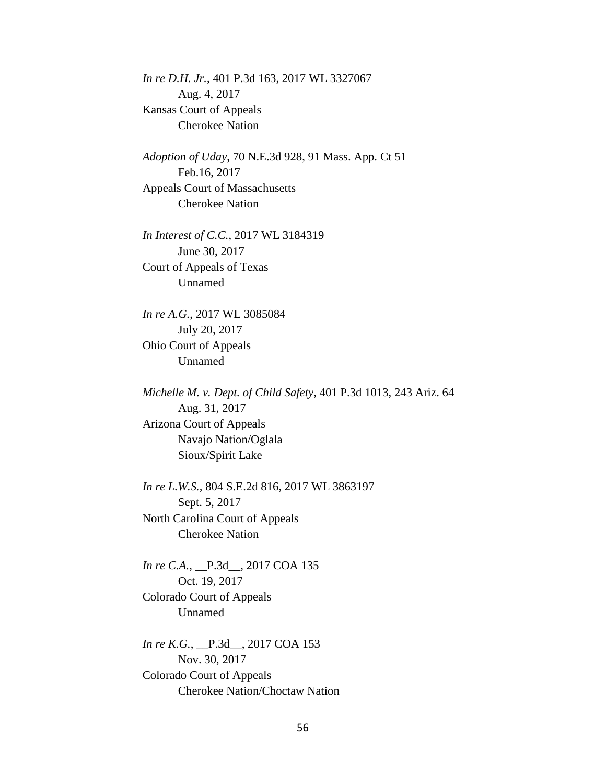*In re D.H. Jr.*, 401 P.3d 163, 2017 WL 3327067 Aug. 4, 2017 Kansas Court of Appeals Cherokee Nation

*Adoption of Uday*, 70 N.E.3d 928, 91 Mass. App. Ct 51 Feb.16, 2017 Appeals Court of Massachusetts Cherokee Nation

*In Interest of C.C.*, 2017 WL 3184319 June 30, 2017 Court of Appeals of Texas Unnamed

*In re A.G.*, 2017 WL 3085084 July 20, 2017 Ohio Court of Appeals Unnamed

*Michelle M. v. Dept. of Child Safety*, 401 P.3d 1013, 243 Ariz. 64 Aug. 31, 2017 Arizona Court of Appeals Navajo Nation/Oglala Sioux/Spirit Lake

*In re L.W.S.,* 804 S.E.2d 816, 2017 WL 3863197 Sept. 5, 2017 North Carolina Court of Appeals Cherokee Nation

*In re C.A.*, *\_\_P.3d\_\_, 2017 COA 135* Oct. 19, 2017 Colorado Court of Appeals Unnamed

*In re K.G.*, *\_\_P.3d\_\_, 2017 COA 153* Nov. 30, 2017 Colorado Court of Appeals Cherokee Nation/Choctaw Nation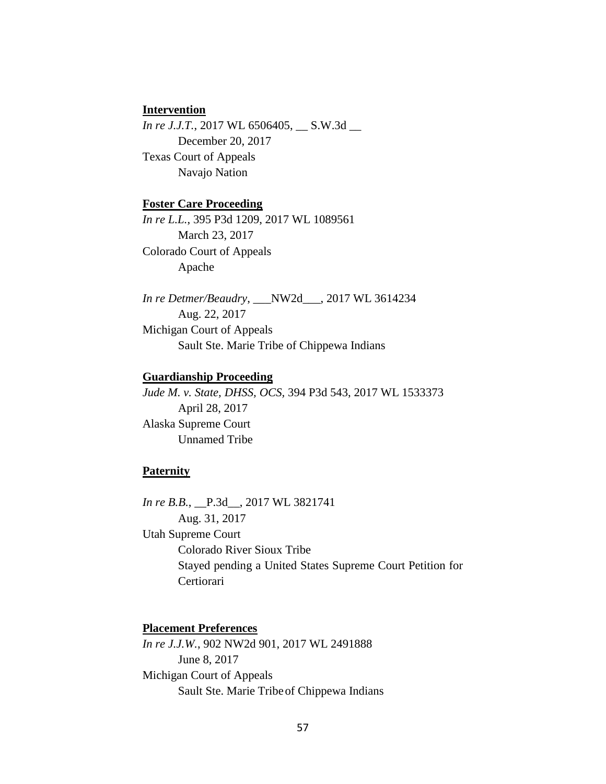## **Intervention**

*In re J.J.T.*, 2017 WL 6506405, S.W.3d \_\_ December 20, 2017 Texas Court of Appeals Navajo Nation

# **Foster Care Proceeding**

*In re L.L.*, 395 P3d 1209, 2017 WL 1089561 March 23, 2017 Colorado Court of Appeals Apache

*In re Detmer/Beaudry*, \_\_\_NW2d\_\_\_, 2017 WL 3614234 Aug. 22, 2017 Michigan Court of Appeals Sault Ste. Marie Tribe of Chippewa Indians

## **Guardianship Proceeding**

*Jude M. v. State, DHSS, OCS,* 394 P3d 543, 2017 WL 1533373 April 28, 2017 Alaska Supreme Court Unnamed Tribe

# **Paternity**

*In re B.B.*, \_\_P.3d\_\_, 2017 WL 3821741 Aug. 31, 2017 Utah Supreme Court Colorado River Sioux Tribe Stayed pending a United States Supreme Court Petition for Certiorari

# **Placement Preferences**

*In re J.J.W.*, 902 NW2d 901, 2017 WL 2491888 June 8, 2017 Michigan Court of Appeals Sault Ste. Marie Tribeof Chippewa Indians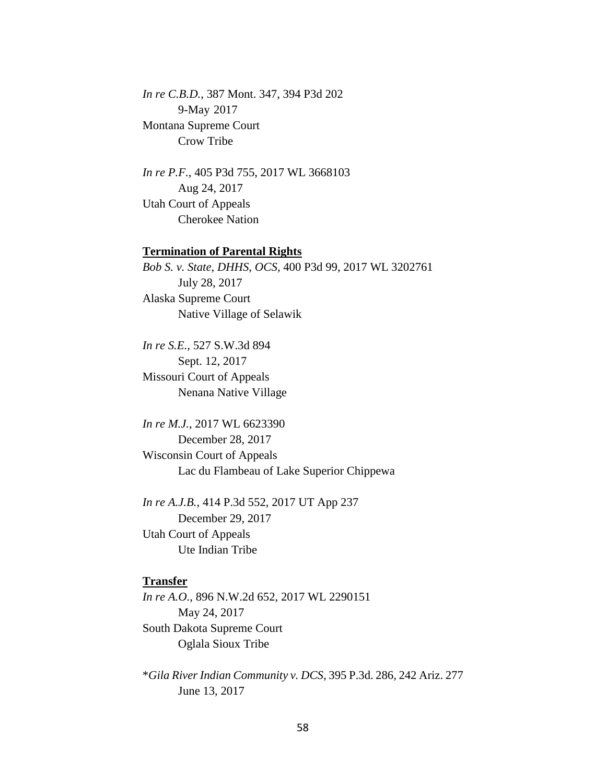*In re C.B.D.*, 387 Mont. 347, 394 P3d 202 9-May 2017 Montana Supreme Court Crow Tribe

*In re P.F.*, 405 P3d 755, 2017 WL 3668103 Aug 24, 2017 Utah Court of Appeals Cherokee Nation

## **Termination of Parental Rights**

*Bob S. v. State*, *DHHS*, *OCS*, 400 P3d 99, 2017 WL 3202761 July 28, 2017 Alaska Supreme Court Native Village of Selawik

*In re S.E.*, 527 S.W.3d 894 Sept. 12, 2017 Missouri Court of Appeals Nenana Native Village

*In re M.J.*, 2017 WL 6623390 December 28, 2017 Wisconsin Court of Appeals Lac du Flambeau of Lake Superior Chippewa

*In re A.J.B.*, 414 P.3d 552, 2017 UT App 237 December 29, 2017 Utah Court of Appeals Ute Indian Tribe

#### **Transfer**

*In re A.O.*, 896 N.W.2d 652, 2017 WL 2290151 May 24, 2017 South Dakota Supreme Court Oglala Sioux Tribe

\**Gila River Indian Community v. DCS*, 395 P.3d. 286, 242 Ariz. 277 June 13, 2017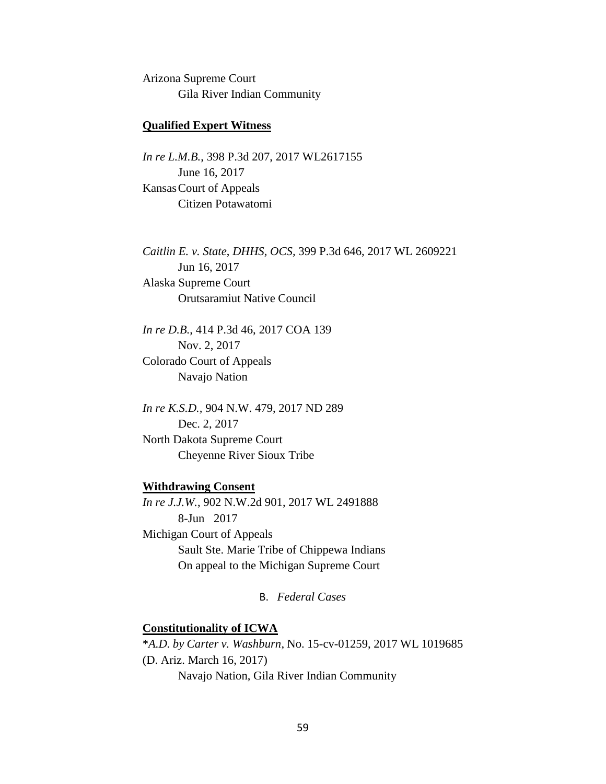Arizona Supreme Court Gila River Indian Community

## **Qualified Expert Witness**

*In re L.M.B.*, 398 P.3d 207, 2017 WL2617155 June 16, 2017 KansasCourt of Appeals Citizen Potawatomi

*Caitlin E. v. State*, *DHHS, OCS,* 399 P.3d 646, 2017 WL 2609221 Jun 16, 2017 Alaska Supreme Court Orutsaramiut Native Council

*In re D.B.*, 414 P.3d 46, 2017 COA 139 Nov. 2, 2017 Colorado Court of Appeals Navajo Nation

*In re K.S.D.,* 904 N.W. 479, 2017 ND 289 Dec. 2, 2017 North Dakota Supreme Court Cheyenne River Sioux Tribe

## **Withdrawing Consent**

*In re J.J.W.*, 902 N.W.2d 901, 2017 WL 2491888 8-Jun 2017 Michigan Court of Appeals Sault Ste. Marie Tribe of Chippewa Indians On appeal to the Michigan Supreme Court

B. *Federal Cases*

# **Constitutionality of ICWA**

\**A.D. by Carter v. Washburn*, No. 15-cv-01259, 2017 WL 1019685 (D. Ariz. March 16, 2017) Navajo Nation, Gila River Indian Community